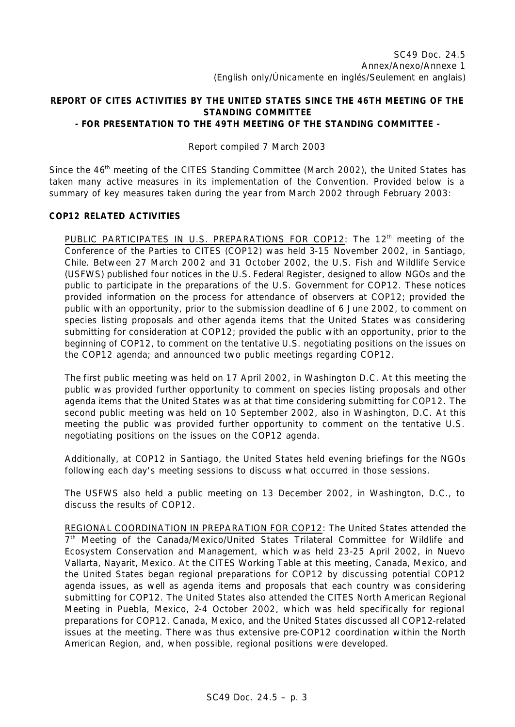# **REPORT OF CITES ACTIVITIES BY THE UNITED STATES SINCE THE 46TH MEETING OF THE STANDING COMMITTEE**

# **- FOR PRESENTATION TO THE 49TH MEETING OF THE STANDING COMMITTEE -**

# *Report compiled 7 March 2003*

Since the 46<sup>th</sup> meeting of the CITES Standing Committee (March 2002), the United States has taken many active measures in its implementation of the Convention. Provided below is a summary of key measures taken during the year from March 2002 through February 2003:

# **COP12 RELATED ACTIVITIES**

PUBLIC PARTICIPATES IN U.S. PREPARATIONS FOR COP12: The 12<sup>th</sup> meeting of the Conference of the Parties to CITES (COP12) was held 3-15 November 2002, in Santiago, Chile. Between 27 March 2002 and 31 October 2002, the U.S. Fish and Wildlife Service (USFWS) published four notices in the U.S. *Federal Register*, designed to allow NGOs and the public to participate in the preparations of the U.S. Government for COP12. These notices provided information on the process for attendance of observers at COP12; provided the public with an opportunity, prior to the submission deadline of 6 June 2002, to comment on species listing proposals and other agenda items that the United States was considering submitting for consideration at COP12; provided the public with an opportunity, prior to the beginning of COP12, to comment on the tentative U.S. negotiating positions on the issues on the COP12 agenda; and announced two public meetings regarding COP12.

The first public meeting was held on 17 April 2002, in Washington D.C. At this meeting the public was provided further opportunity to comment on species listing proposals and other agenda items that the United States was at that time considering submitting for COP12. The second public meeting was held on 10 September 2002, also in Washington, D.C. At this meeting the public was provided further opportunity to comment on the tentative U.S. negotiating positions on the issues on the COP12 agenda.

Additionally, at COP12 in Santiago, the United States held evening briefings for the NGOs following each day's meeting sessions to discuss what occurred in those sessions.

The USFWS also held a public meeting on 13 December 2002, in Washington, D.C., to discuss the results of COP12.

REGIONAL COORDINATION IN PREPARATION FOR COP12: The United States attended the 7<sup>th</sup> Meeting of the Canada/Mexico/United States Trilateral Committee for Wildlife and Ecosystem Conservation and Management, which was held 23-25 April 2002, in Nuevo Vallarta, Nayarit, Mexico. At the CITES Working Table at this meeting, Canada, Mexico, and the United States began regional preparations for COP12 by discussing potential COP12 agenda issues, as well as agenda items and proposals that each country was considering submitting for COP12. The United States also attended the CITES North American Regional Meeting in Puebla, Mexico, 2-4 October 2002, which was held specifically for regional preparations for COP12. Canada, Mexico, and the United States discussed all COP12-related issues at the meeting. There was thus extensive pre-COP12 coordination within the North American Region, and, when possible, regional positions were developed.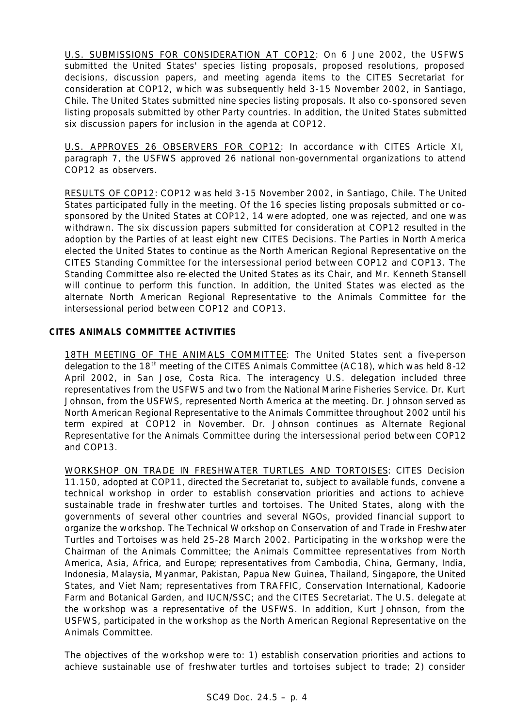U.S. SUBMISSIONS FOR CONSIDERATION AT COP12: On 6 June 2002, the USFWS submitted the United States' species listing proposals, proposed resolutions, proposed decisions, discussion papers, and meeting agenda items to the CITES Secretariat for consideration at COP12, which was subsequently held 3-15 November 2002, in Santiago, Chile. The United States submitted nine species listing proposals. It also co-sponsored seven listing proposals submitted by other Party countries. In addition, the United States submitted six discussion papers for inclusion in the agenda at COP12.

U.S. APPROVES 26 OBSERVERS FOR COP12: In accordance with CITES Article XI, paragraph 7, the USFWS approved 26 national non-governmental organizations to attend COP12 as observers.

RESULTS OF COP12: COP12 was held 3-15 November 2002, in Santiago, Chile. The United States participated fully in the meeting. Of the 16 species listing proposals submitted or cosponsored by the United States at COP12, 14 were adopted, one was rejected, and one was withdrawn. The six discussion papers submitted for consideration at COP12 resulted in the adoption by the Parties of at least eight new CITES Decisions. The Parties in North America elected the United States to continue as the North American Regional Representative on the CITES Standing Committee for the intersessional period between COP12 and COP13. The Standing Committee also re-elected the United States as its Chair, and Mr. Kenneth Stansell will continue to perform this function. In addition, the United States was elected as the alternate North American Regional Representative to the Animals Committee for the intersessional period between COP12 and COP13.

# **CITES ANIMALS COMMITTEE ACTIVITIES**

18TH MEETING OF THE ANIMALS COMMITTEE: The United States sent a five-person delegation to the 18<sup>th</sup> meeting of the CITES Animals Committee (AC18), which was held 8-12 April 2002, in San Jose, Costa Rica. The interagency U.S. delegation included three representatives from the USFWS and two from the National Marine Fisheries Service. Dr. Kurt Johnson, from the USFWS, represented North America at the meeting. Dr. Johnson served as North American Regional Representative to the Animals Committee throughout 2002 until his term expired at COP12 in November. Dr. Johnson continues as Alternate Regional Representative for the Animals Committee during the intersessional period between COP12 and COP13.

WORKSHOP ON TRADE IN FRESHWATER TURTLES AND TORTOISES: CITES Decision 11.150, adopted at COP11, directed the Secretariat to, subject to available funds, convene a technical workshop in order to establish conservation priorities and actions to achieve sustainable trade in freshwater turtles and tortoises. The United States, along with the governments of several other countries and several NGOs, provided financial support to organize the workshop. The Technical Workshop on Conservation of and Trade in Freshwater Turtles and Tortoises was held 25-28 March 2002. Participating in the workshop were the Chairman of the Animals Committee; the Animals Committee representatives from North America, Asia, Africa, and Europe; representatives from Cambodia, China, Germany, India, Indonesia, Malaysia, Myanmar, Pakistan, Papua New Guinea, Thailand, Singapore, the United States, and Viet Nam; representatives from TRAFFIC, Conservation International, Kadoorie Farm and Botanical Garden, and IUCN/SSC; and the CITES Secretariat. The U.S. delegate at the workshop was a representative of the USFWS. In addition, Kurt Johnson, from the USFWS, participated in the workshop as the North American Regional Representative on the Animals Committee.

The objectives of the workshop were to: 1) establish conservation priorities and actions to achieve sustainable use of freshwater turtles and tortoises subject to trade; 2) consider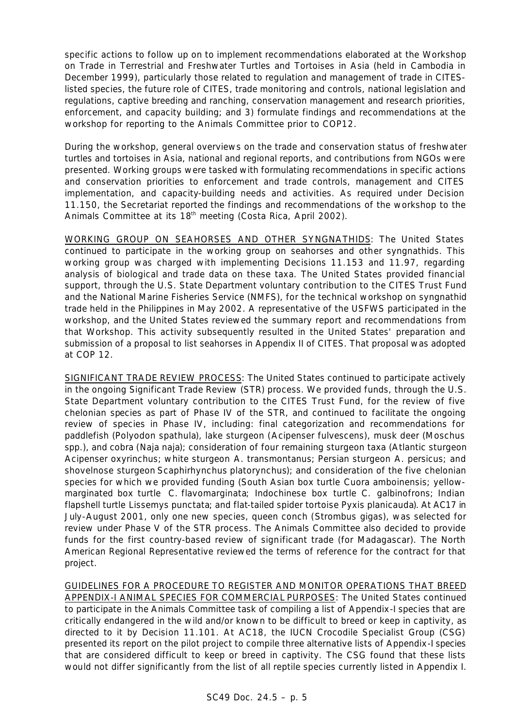specific actions to follow up on to implement recommendations elaborated at the Workshop on Trade in Terrestrial and Freshwater Turtles and Tortoises in Asia (held in Cambodia in December 1999), particularly those related to regulation and management of trade in CITESlisted species, the future role of CITES, trade monitoring and controls, national legislation and regulations, captive breeding and ranching, conservation management and research priorities, enforcement, and capacity building; and 3) formulate findings and recommendations at the workshop for reporting to the Animals Committee prior to COP12.

During the workshop, general overviews on the trade and conservation status of freshwater turtles and tortoises in Asia, national and regional reports, and contributions from NGOs were presented. Working groups were tasked with formulating recommendations in specific actions and conservation priorities to enforcement and trade controls, management and CITES implementation, and capacity-building needs and activities. As required under Decision 11.150, the Secretariat reported the findings and recommendations of the workshop to the Animals Committee at its 18<sup>th</sup> meeting (Costa Rica, April 2002).

WORKING GROUP ON SEAHORSES AND OTHER SYNGNATHIDS: The United States continued to participate in the working group on seahorses and other syngnathids. This working group was charged with implementing Decisions 11.153 and 11.97, regarding analysis of biological and trade data on these taxa. The United States provided financial support, through the U.S. State Department voluntary contribution to the CITES Trust Fund and the National Marine Fisheries Service (NMFS), for the technical workshop on syngnathid trade held in the Philippines in May 2002. A representative of the USFWS participated in the workshop, and the United States reviewed the summary report and recommendations from that Workshop. This activity subsequently resulted in the United States' preparation and submission of a proposal to list seahorses in Appendix II of CITES. That proposal was adopted at COP 12.

SIGNIFICANT TRADE REVIEW PROCESS: The United States continued to participate actively in the ongoing Significant Trade Review (STR) process. We provided funds, through the U.S. State Department voluntary contribution to the CITES Trust Fund, for the review of five chelonian species as part of Phase IV of the STR, and continued to facilitate the ongoing review of species in Phase IV, including: final categorization and recommendations for paddlefish (*Polyodon spathula*), lake sturgeon (*Acipenser fulvescens*), musk deer (*Moschus* spp.), and cobra (*Naja naja*); consideration of four remaining sturgeon taxa (Atlantic sturgeon *Acipenser oxyrinchus*; white sturgeon *A. transmontanus*; Persian sturgeon *A. persicus*; and shovelnose sturgeon *Scaphirhynchus platorynchus*); and consideration of the five chelonian species for which we provided funding (South Asian box turtle *Cuora amboinensis*; yellowmarginated box turtle *C. flavomarginata*; Indochinese box turtle *C. galbinofrons*; Indian flapshell turtle *Lissemys punctata*; and flat-tailed spider tortoise *Pyxis planicauda*). At AC17 in July-August 2001, only one new species, queen conch (*Strombus gigas*), was selected for review under Phase V of the STR process. The Animals Committee also decided to provide funds for the first country-based review of significant trade (for Madagascar). The North American Regional Representative reviewed the terms of reference for the contract for that project.

GUIDELINES FOR A PROCEDURE TO REGISTER AND MONITOR OPERATIONS THAT BREED APPENDIX-I ANIMAL SPECIES FOR COMMERCIAL PURPOSES: The United States continued to participate in the Animals Committee task of compiling a list of Appendix-I species that are critically endangered in the wild and/or known to be difficult to breed or keep in captivity, as directed to it by Decision 11.101. At AC18, the IUCN Crocodile Specialist Group (CSG) presented its report on the pilot project to compile three alternative lists of Appendix-I species that are considered difficult to keep or breed in captivity. The CSG found that these lists would not differ significantly from the list of all reptile species currently listed in Appendix I.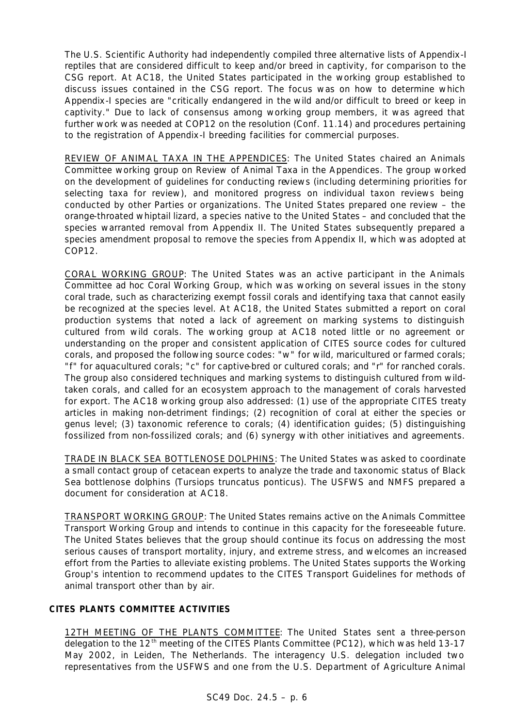The U.S. Scientific Authority had independently compiled three alternative lists of Appendix-I reptiles that are considered difficult to keep and/or breed in captivity, for comparison to the CSG report. At AC18, the United States participated in the working group established to discuss issues contained in the CSG report. The focus was on how to determine which Appendix-I species are "critically endangered in the wild and/or difficult to breed or keep in captivity." Due to lack of consensus among working group members, it was agreed that further work was needed at COP12 on the resolution (Conf. 11.14) and procedures pertaining to the registration of Appendix-I breeding facilities for commercial purposes.

REVIEW OF ANIMAL TAXA IN THE APPENDICES: The United States chaired an Animals Committee working group on Review of Animal Taxa in the Appendices. The group worked on the development of guidelines for conducting reviews (including determining priorities for selecting taxa for review), and monitored progress on individual taxon reviews being conducted by other Parties or organizations. The United States prepared one review – the orange-throated whiptail lizard, a species native to the United States – and concluded that the species warranted removal from Appendix II. The United States subsequently prepared a species amendment proposal to remove the species from Appendix II, which was adopted at COP12.

CORAL WORKING GROUP: The United States was an active participant in the Animals Committee *ad hoc* Coral Working Group, which was working on several issues in the stony coral trade, such as characterizing exempt fossil corals and identifying taxa that cannot easily be recognized at the species level. At AC18, the United States submitted a report on coral production systems that noted a lack of agreement on marking systems to distinguish cultured from wild corals. The working group at AC18 noted little or no agreement or understanding on the proper and consistent application of CITES source codes for cultured corals, and proposed the following source codes: "w" for wild, maricultured or farmed corals; "f" for aquacultured corals; "c" for captive-bred or cultured corals; and "r" for ranched corals. The group also considered techniques and marking systems to distinguish cultured from wildtaken corals, and called for an ecosystem approach to the management of corals harvested for export. The AC18 working group also addressed: (1) use of the appropriate CITES treaty articles in making non-detriment findings; (2) recognition of coral at either the species or genus level; (3) taxonomic reference to corals; (4) identification guides; (5) distinguishing fossilized from non-fossilized corals; and (6) synergy with other initiatives and agreements.

TRADE IN BLACK SEA BOTTLENOSE DOLPHINS: The United States was asked to coordinate a small contact group of cetacean experts to analyze the trade and taxonomic status of Black Sea bottlenose dolphins (*Tursiops truncatus ponticus*). The USFWS and NMFS prepared a document for consideration at AC18.

TRANSPORT WORKING GROUP: The United States remains active on the Animals Committee Transport Working Group and intends to continue in this capacity for the foreseeable future. The United States believes that the group should continue its focus on addressing the most serious causes of transport mortality, injury, and extreme stress, and welcomes an increased effort from the Parties to alleviate existing problems. The United States supports the Working Group's intention to recommend updates to the CITES Transport Guidelines for methods of animal transport other than by air.

# **CITES PLANTS COMMITTEE ACTIVITIES**

12TH MEETING OF THE PLANTS COMMITTEE: The United States sent a three-person delegation to the  $12<sup>th</sup>$  meeting of the CITES Plants Committee (PC12), which was held 13-17 May 2002, in Leiden, The Netherlands. The interagency U.S. delegation included two representatives from the USFWS and one from the U.S. Department of Agriculture Animal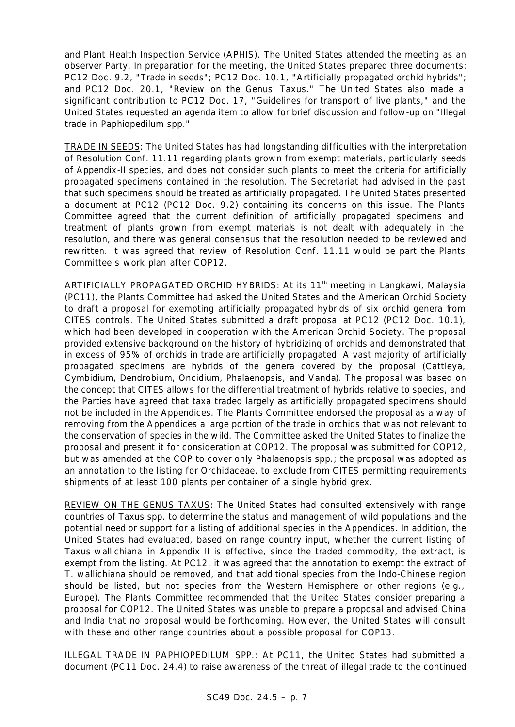and Plant Health Inspection Service (APHIS). The United States attended the meeting as an observer Party. In preparation for the meeting, the United States prepared three documents: PC12 Doc. 9.2, "Trade in seeds"; PC12 Doc. 10.1, "Artificially propagated orchid hybrids"; and PC12 Doc. 20.1, "Review on the Genus *Taxus*." The United States also made a significant contribution to PC12 Doc. 17, "Guidelines for transport of live plants," and the United States requested an agenda item to allow for brief discussion and follow-up on "Illegal trade in *Paphiopedilum* spp."

TRADE IN SEEDS: The United States has had longstanding difficulties with the interpretation of Resolution Conf. 11.11 regarding plants grown from exempt materials, particularly seeds of Appendix-II species, and does not consider such plants to meet the criteria for artificially propagated specimens contained in the resolution. The Secretariat had advised in the past that such specimens should be treated as artificially propagated. The United States presented a document at PC12 (PC12 Doc. 9.2) containing its concerns on this issue. The Plants Committee agreed that the current definition of artificially propagated specimens and treatment of plants grown from exempt materials is not dealt with adequately in the resolution, and there was general consensus that the resolution needed to be reviewed and rewritten. It was agreed that review of Resolution Conf. 11.11 would be part the Plants Committee's work plan after COP12.

ARTIFICIALLY PROPAGATED ORCHID HYBRIDS: At its 11<sup>th</sup> meeting in Langkawi, Malaysia (PC11), the Plants Committee had asked the United States and the American Orchid Society to draft a proposal for exempting artificially propagated hybrids of six orchid genera from CITES controls. The United States submitted a draft proposal at PC12 (PC12 Doc. 10.1), which had been developed in cooperation with the American Orchid Society. The proposal provided extensive background on the history of hybridizing of orchids and demonstrated that in excess of 95% of orchids in trade are artificially propagated. A vast majority of artificially propagated specimens are hybrids of the genera covered by the proposal (*Cattleya, Cymbidium, Dendrobium, Oncidium, Phalaenopsis,* and *Vanda*). The proposal was based on the concept that CITES allows for the differential treatment of hybrids relative to species, and the Parties have agreed that taxa traded largely as artificially propagated specimens should not be included in the Appendices. The Plants Committee endorsed the proposal as a way of removing from the Appendices a large portion of the trade in orchids that was not relevant to the conservation of species in the wild. The Committee asked the United States to finalize the proposal and present it for consideration at COP12. The proposal was submitted for COP12, but was amended at the COP to cover only *Phalaenopsis* spp.; the proposal was adopted as an annotation to the listing for Orchidaceae, to exclude from CITES permitting requirements shipments of at least 100 plants per container of a single hybrid grex.

REVIEW ON THE GENUS TAXUS: The United States had consulted extensively with range countries of *Taxus* spp. to determine the status and management of wild populations and the potential need or support for a listing of additional species in the Appendices. In addition, the United States had evaluated, based on range country input, whether the current listing of *Taxus wallichiana* in Appendix II is effective, since the traded commodity, the extract, is exempt from the listing. At PC12, it was agreed that the annotation to exempt the extract of *T. wallichiana* should be removed, and that additional species from the Indo-Chinese region should be listed, but not species from the Western Hemisphere or other regions (e.g., Europe). The Plants Committee recommended that the United States consider preparing a proposal for COP12. The United States was unable to prepare a proposal and advised China and India that no proposal would be forthcoming. However, the United States will consult with these and other range countries about a possible proposal for COP13.

ILLEGAL TRADE IN *PAPHIOPEDILUM* SPP.: At PC11, the United States had submitted a document (PC11 Doc. 24.4) to raise awareness of the threat of illegal trade to the continued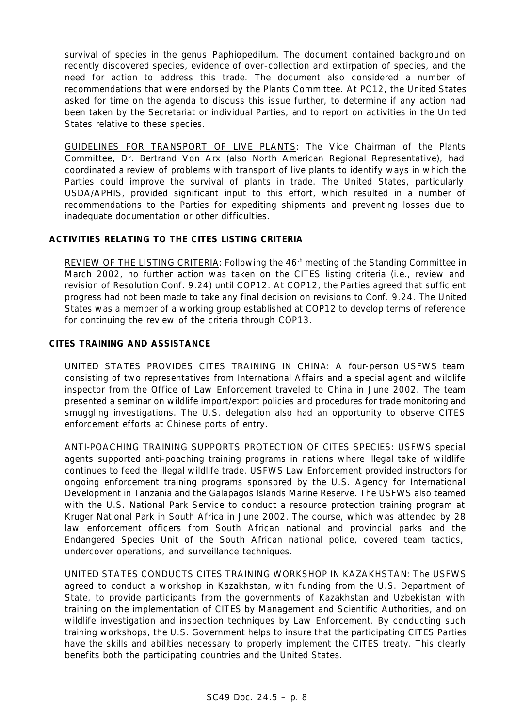survival of species in the genus *Paphiopedilum*. The document contained background on recently discovered species, evidence of over-collection and extirpation of species, and the need for action to address this trade. The document also considered a number of recommendations that were endorsed by the Plants Committee. At PC12, the United States asked for time on the agenda to discuss this issue further, to determine if any action had been taken by the Secretariat or individual Parties, and to report on activities in the United States relative to these species.

GUIDELINES FOR TRANSPORT OF LIVE PLANTS: The Vice Chairman of the Plants Committee, Dr. Bertrand Von Arx (also North American Regional Representative), had coordinated a review of problems with transport of live plants to identify ways in which the Parties could improve the survival of plants in trade. The United States, particularly USDA/APHIS, provided significant input to this effort, which resulted in a number of recommendations to the Parties for expediting shipments and preventing losses due to inadequate documentation or other difficulties.

# **ACTIVITIES RELATING TO THE CITES LISTING CRITERIA**

REVIEW OF THE LISTING CRITERIA: Following the 46<sup>th</sup> meeting of the Standing Committee in March 2002, no further action was taken on the CITES listing criteria (i.e., review and revision of Resolution Conf. 9.24) until COP12. At COP12, the Parties agreed that sufficient progress had not been made to take any final decision on revisions to Conf. 9.24. The United States was a member of a working group established at COP12 to develop terms of reference for continuing the review of the criteria through COP13.

# **CITES TRAINING AND ASSISTANCE**

UNITED STATES PROVIDES CITES TRAINING IN CHINA: A four-person USFWS team consisting of two representatives from International Affairs and a special agent and wildlife inspector from the Office of Law Enforcement traveled to China in June 2002. The team presented a seminar on wildlife import/export policies and procedures for trade monitoring and smuggling investigations. The U.S. delegation also had an opportunity to observe CITES enforcement efforts at Chinese ports of entry.

ANTI-POACHING TRAINING SUPPORTS PROTECTION OF CITES SPECIES: USFWS special agents supported anti-poaching training programs in nations where illegal take of wildlife continues to feed the illegal wildlife trade. USFWS Law Enforcement provided instructors for ongoing enforcement training programs sponsored by the U.S. Agency for International Development in Tanzania and the Galapagos Islands Marine Reserve. The USFWS also teamed with the U.S. National Park Service to conduct a resource protection training program at Kruger National Park in South Africa in June 2002. The course, which was attended by 28 law enforcement officers from South African national and provincial parks and the Endangered Species Unit of the South African national police, covered team tactics, undercover operations, and surveillance techniques.

UNITED STATES CONDUCTS CITES TRAINING WORKSHOP IN KAZAKHSTAN: The USFWS agreed to conduct a workshop in Kazakhstan, with funding from the U.S. Department of State, to provide participants from the governments of Kazakhstan and Uzbekistan with training on the implementation of CITES by Management and Scientific Authorities, and on wildlife investigation and inspection techniques by Law Enforcement. By conducting such training workshops, the U.S. Government helps to insure that the participating CITES Parties have the skills and abilities necessary to properly implement the CITES treaty. This clearly benefits both the participating countries and the United States.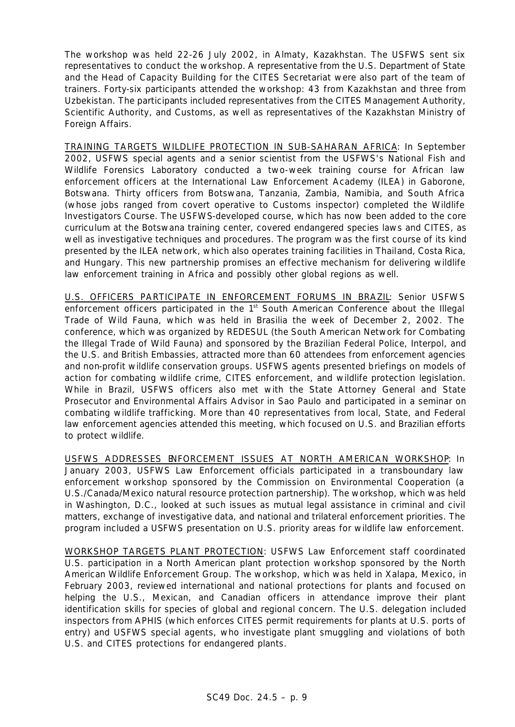The workshop was held 22-26 July 2002, in Almaty, Kazakhstan. The USFWS sent six representatives to conduct the workshop. A representative from the U.S. Department of State and the Head of Capacity Building for the CITES Secretariat were also part of the team of trainers. Forty-six participants attended the workshop: 43 from Kazakhstan and three from Uzbekistan. The participants included representatives from the CITES Management Authority, Scientific Authority, and Customs, as well as representatives of the Kazakhstan Ministry of Foreign Affairs.

TRAINING TARGETS WILDLIFE PROTECTION IN SUB-SAHARAN AFRICA: In September 2002, USFWS special agents and a senior scientist from the USFWS's National Fish and Wildlife Forensics Laboratory conducted a two-week training course for African law enforcement officers at the International Law Enforcement Academy (ILEA) in Gaborone, Botswana. Thirty officers from Botswana, Tanzania, Zambia, Namibia, and South Africa (whose jobs ranged from covert operative to Customs inspector) completed the Wildlife Investigators Course. The USFWS-developed course, which has now been added to the core curriculum at the Botswana training center, covered endangered species laws and CITES, as well as investigative techniques and procedures. The program was the first course of its kind presented by the ILEA network, which also operates training facilities in Thailand, Costa Rica, and Hungary. This new partnership promises an effective mechanism for delivering wildlife law enforcement training in Africa and possibly other global regions as well.

U.S. OFFICERS PARTICIPATE IN ENFORCEMENT FORUMS IN BRAZIL: Senior USFWS enforcement officers participated in the 1<sup>st</sup> South American Conference about the Illegal Trade of Wild Fauna, which was held in Brasilia the week of December 2, 2002. The conference, which was organized by REDESUL (the South American Network for Combating the Illegal Trade of Wild Fauna) and sponsored by the Brazilian Federal Police, Interpol, and the U.S. and British Embassies, attracted more than 60 attendees from enforcement agencies and non-profit wildlife conservation groups. USFWS agents presented briefings on models of action for combating wildlife crime, CITES enforcement, and wildlife protection legislation. While in Brazil, USFWS officers also met with the State Attorney General and State Prosecutor and Environmental Affairs Advisor in Sao Paulo and participated in a seminar on combating wildlife trafficking. More than 40 representatives from local, State, and Federal law enforcement agencies attended this meeting, which focused on U.S. and Brazilian efforts to protect wildlife.

USFWS ADDRESSES ENFORCEMENT ISSUES AT NORTH AMERICAN WORKSHOP: In January 2003, USFWS Law Enforcement officials participated in a transboundary law enforcement workshop sponsored by the Commission on Environmental Cooperation (a U.S./Canada/Mexico natural resource protection partnership). The workshop, which was held in Washington, D.C., looked at such issues as mutual legal assistance in criminal and civil matters, exchange of investigative data, and national and trilateral enforcement priorities. The program included a USFWS presentation on U.S. priority areas for wildlife law enforcement.

WORKSHOP TARGETS PLANT PROTECTION: USFWS Law Enforcement staff coordinated U.S. participation in a North American plant protection workshop sponsored by the North American Wildlife Enforcement Group. The workshop, which was held in Xalapa, Mexico, in February 2003, reviewed international and national protections for plants and focused on helping the U.S., Mexican, and Canadian officers in attendance improve their plant identification skills for species of global and regional concern. The U.S. delegation included inspectors from APHIS (which enforces CITES permit requirements for plants at U.S. ports of entry) and USFWS special agents, who investigate plant smuggling and violations of both U.S. and CITES protections for endangered plants.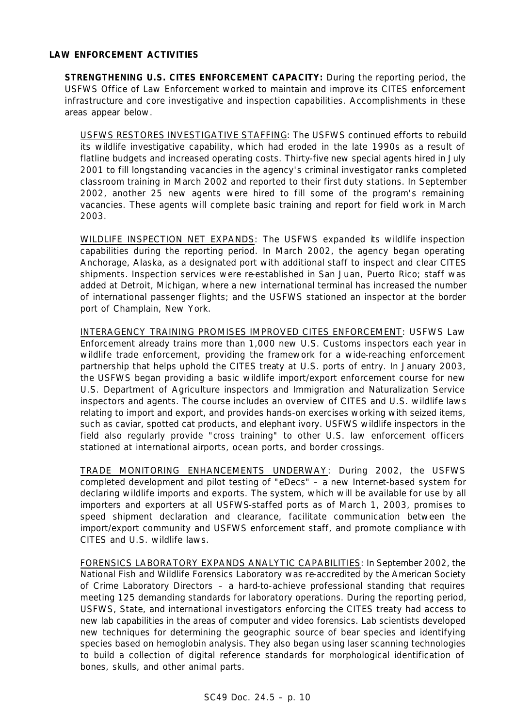### **LAW ENFORCEMENT ACTIVITIES**

**STRENGTHENING U.S. CITES ENFORCEMENT CAPACITY:** During the reporting period, the USFWS Office of Law Enforcement worked to maintain and improve its CITES enforcement infrastructure and core investigative and inspection capabilities. Accomplishments in these areas appear below.

USFWS RESTORES INVESTIGATIVE STAFFING: The USFWS continued efforts to rebuild its wildlife investigative capability, which had eroded in the late 1990s as a result of flatline budgets and increased operating costs. Thirty-five new special agents hired in July 2001 to fill longstanding vacancies in the agency's criminal investigator ranks completed classroom training in March 2002 and reported to their first duty stations. In September 2002, another 25 new agents were hired to fill some of the program's remaining vacancies. These agents will complete basic training and report for field work in March 2003.

WILDLIFE INSPECTION NET EXPANDS: The USFWS expanded its wildlife inspection capabilities during the reporting period. In March 2002, the agency began operating Anchorage, Alaska, as a designated port with additional staff to inspect and clear CITES shipments. Inspection services were re-established in San Juan, Puerto Rico; staff was added at Detroit, Michigan, where a new international terminal has increased the number of international passenger flights; and the USFWS stationed an inspector at the border port of Champlain, New York.

INTERAGENCY TRAINING PROMISES IMPROVED CITES ENFORCEMENT: USFWS Law Enforcement already trains more than 1,000 new U.S. Customs inspectors each year in wildlife trade enforcement, providing the framework for a wide-reaching enforcement partnership that helps uphold the CITES treaty at U.S. ports of entry. In January 2003, the USFWS began providing a basic wildlife import/export enforcement course for new U.S. Department of Agriculture inspectors and Immigration and Naturalization Service inspectors and agents. The course includes an overview of CITES and U.S. wildlife laws relating to import and export, and provides hands-on exercises working with seized items, such as caviar, spotted cat products, and elephant ivory. USFWS wildlife inspectors in the field also regularly provide "cross training" to other U.S. law enforcement officers stationed at international airports, ocean ports, and border crossings.

TRADE MONITORING ENHANCEMENTS UNDERWAY: During 2002, the USFWS completed development and pilot testing of "eDecs" – a new Internet-based system for declaring wildlife imports and exports. The system, which will be available for use by all importers and exporters at all USFWS-staffed ports as of March 1, 2003, promises to speed shipment declaration and clearance, facilitate communication between the import/export community and USFWS enforcement staff, and promote compliance with CITES and U.S. wildlife laws.

FORENSICS LABORATORY EXPANDS ANALYTIC CAPABILITIES: In September 2002, the National Fish and Wildlife Forensics Laboratory was re-accredited by the American Society of Crime Laboratory Directors – a hard-to-achieve professional standing that requires meeting 125 demanding standards for laboratory operations. During the reporting period, USFWS, State, and international investigators enforcing the CITES treaty had access to new lab capabilities in the areas of computer and video forensics. Lab scientists developed new techniques for determining the geographic source of bear species and identifying species based on hemoglobin analysis. They also began using laser scanning technologies to build a collection of digital reference standards for morphological identification of bones, skulls, and other animal parts.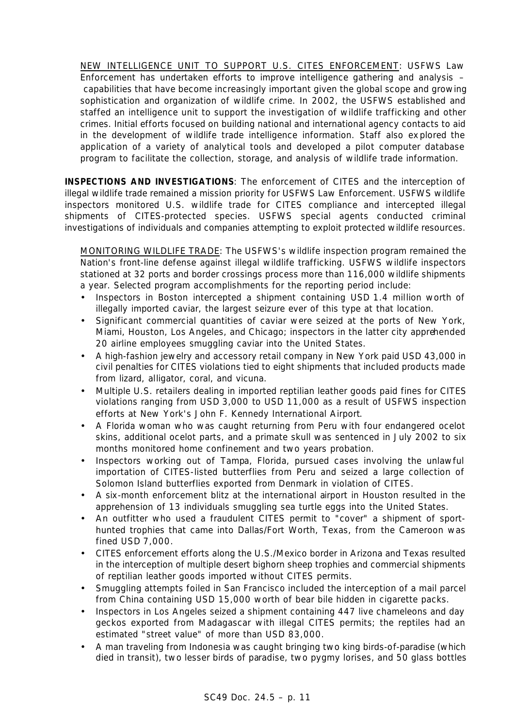NEW INTELLIGENCE UNIT TO SUPPORT U.S. CITES ENFORCEMENT: USFWS Law Enforcement has undertaken efforts to improve intelligence gathering and analysis – capabilities that have become increasingly important given the global scope and growing sophistication and organization of wildlife crime. In 2002, the USFWS established and staffed an intelligence unit to support the investigation of wildlife trafficking and other crimes. Initial efforts focused on building national and international agency contacts to aid in the development of wildlife trade intelligence information. Staff also ex plored the application of a variety of analytical tools and developed a pilot computer database program to facilitate the collection, storage, and analysis of wildlife trade information.

*INSPECTIONS AND INVESTIGATIONS:* The enforcement of CITES and the interception of illegal wildlife trade remained a mission priority for USFWS Law Enforcement. USFWS wildlife inspectors monitored U.S. wildlife trade for CITES compliance and intercepted illegal shipments of CITES-protected species. USFWS special agents conducted criminal investigations of individuals and companies attempting to exploit protected wildlife resources.

MONITORING WILDLIFE TRADE: The USFWS's wildlife inspection program remained the Nation's front-line defense against illegal wildlife trafficking. USFWS wildlife inspectors stationed at 32 ports and border crossings process more than 116,000 wildlife shipments a year. Selected program accomplishments for the reporting period include:

- Inspectors in Boston intercepted a shipment containing USD 1.4 million worth of illegally imported caviar, the largest seizure ever of this type at that location.
- Significant commercial quantities of caviar were seized at the ports of New York, Miami, Houston, Los Angeles, and Chicago; inspectors in the latter city apprehended 20 airline employees smuggling caviar into the United States.
- A high-fashion jewelry and accessory retail company in New York paid USD 43,000 in civil penalties for CITES violations tied to eight shipments that included products made from lizard, alligator, coral, and vicuna.
- Multiple U.S. retailers dealing in imported reptilian leather goods paid fines for CITES violations ranging from USD 3,000 to USD 11,000 as a result of USFWS inspection efforts at New York's John F. Kennedy International Airport.
- A Florida woman who was caught returning from Peru with four endangered ocelot skins, additional ocelot parts, and a primate skull was sentenced in July 2002 to six months monitored home confinement and two years probation.
- Inspectors working out of Tampa, Florida, pursued cases involving the unlawful importation of CITES-listed butterflies from Peru and seized a large collection of Solomon Island butterflies exported from Denmark in violation of CITES.
- A six-month enforcement blitz at the international airport in Houston resulted in the apprehension of 13 individuals smuggling sea turtle eggs into the United States.
- An outfitter who used a fraudulent CITES permit to "cover" a shipment of sporthunted trophies that came into Dallas/Fort Worth, Texas, from the Cameroon was fined USD 7,000.
- CITES enforcement efforts along the U.S./Mexico border in Arizona and Texas resulted in the interception of multiple desert bighorn sheep trophies and commercial shipments of reptilian leather goods imported without CITES permits.
- Smuggling attempts foiled in San Francisco included the interception of a mail parcel from China containing USD 15,000 worth of bear bile hidden in cigarette packs.
- Inspectors in Los Angeles seized a shipment containing 447 live chameleons and day geckos exported from Madagascar with illegal CITES permits; the reptiles had an estimated "street value" of more than USD 83,000.
- A man traveling from Indonesia was caught bringing two king birds-of-paradise (which died in transit), two lesser birds of paradise, two pygmy lorises, and 50 glass bottles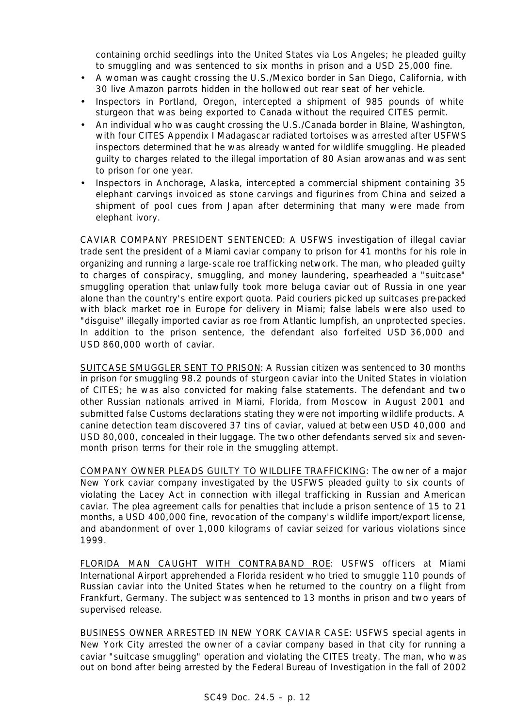containing orchid seedlings into the United States via Los Angeles; he pleaded guilty to smuggling and was sentenced to six months in prison and a USD 25,000 fine.

- A woman was caught crossing the U.S./Mexico border in San Diego, California, with 30 live Amazon parrots hidden in the hollowed out rear seat of her vehicle.
- Inspectors in Portland, Oregon, intercepted a shipment of 985 pounds of white sturgeon that was being exported to Canada without the required CITES permit.
- An individual who was caught crossing the U.S./Canada border in Blaine, Washington, with four CITES Appendix I Madagascar radiated tortoises was arrested after USFWS inspectors determined that he was already wanted for wildlife smuggling. He pleaded guilty to charges related to the illegal importation of 80 Asian arowanas and was sent to prison for one year.
- Inspectors in Anchorage, Alaska, intercepted a commercial shipment containing 35 elephant carvings invoiced as stone carvings and figurines from China and seized a shipment of pool cues from Japan after determining that many were made from elephant ivory.

CAVIAR COMPANY PRESIDENT SENTENCED: A USFWS investigation of illegal caviar trade sent the president of a Miami caviar company to prison for 41 months for his role in organizing and running a large-scale roe trafficking network. The man, who pleaded guilty to charges of conspiracy, smuggling, and money laundering, spearheaded a "suitcase" smuggling operation that unlawfully took more beluga caviar out of Russia in one year alone than the country's entire export quota. Paid couriers picked up suitcases pre-packed with black market roe in Europe for delivery in Miami; false labels were also used to "disguise" illegally imported caviar as roe from Atlantic lumpfish, an unprotected species. In addition to the prison sentence, the defendant also forfeited USD 36,000 and USD 860,000 worth of caviar.

SUITCASE SMUGGLER SENT TO PRISON: A Russian citizen was sentenced to 30 months in prison for smuggling 98.2 pounds of sturgeon caviar into the United States in violation of CITES; he was also convicted for making false statements. The defendant and two other Russian nationals arrived in Miami, Florida, from Moscow in August 2001 and submitted false Customs declarations stating they were not importing wildlife products. A canine detection team discovered 37 tins of caviar, valued at between USD 40,000 and USD 80,000, concealed in their luggage. The two other defendants served six and sevenmonth prison terms for their role in the smuggling attempt.

COMPANY OWNER PLEADS GUILTY TO WILDLIFE TRAFFICKING: The owner of a major New York caviar company investigated by the USFWS pleaded guilty to six counts of violating the Lacey Act in connection with illegal trafficking in Russian and American caviar. The plea agreement calls for penalties that include a prison sentence of 15 to 21 months, a USD 400,000 fine, revocation of the company's wildlife import/export license, and abandonment of over 1,000 kilograms of caviar seized for various violations since 1999.

FLORIDA MAN CAUGHT WITH CONTRABAND ROE: USFWS officers at Miami International Airport apprehended a Florida resident who tried to smuggle 110 pounds of Russian caviar into the United States when he returned to the country on a flight from Frankfurt, Germany. The subject was sentenced to 13 months in prison and two years of supervised release.

BUSINESS OWNER ARRESTED IN NEW YORK CAVIAR CASE: USFWS special agents in New York City arrested the owner of a caviar company based in that city for running a caviar "suitcase smuggling" operation and violating the CITES treaty. The man, who was out on bond after being arrested by the Federal Bureau of Investigation in the fall of 2002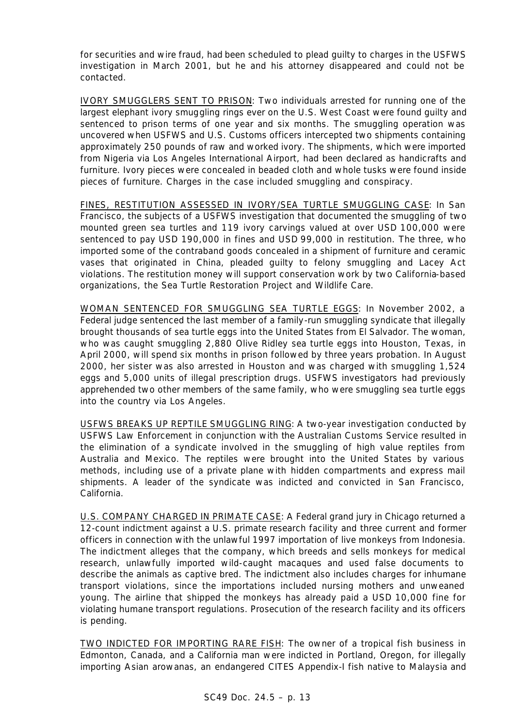for securities and wire fraud, had been scheduled to plead guilty to charges in the USFWS investigation in March 2001, but he and his attorney disappeared and could not be contacted.

IVORY SMUGGLERS SENT TO PRISON: Two individuals arrested for running one of the largest elephant ivory smuggling rings ever on the U.S. West Coast were found guilty and sentenced to prison terms of one year and six months. The smuggling operation was uncovered when USFWS and U.S. Customs officers intercepted two shipments containing approximately 250 pounds of raw and worked ivory. The shipments, which were imported from Nigeria via Los Angeles International Airport, had been declared as handicrafts and furniture. Ivory pieces were concealed in beaded cloth and whole tusks were found inside pieces of furniture. Charges in the case included smuggling and conspiracy.

FINES, RESTITUTION ASSESSED IN IVORY/SEA TURTLE SMUGGLING CASE: In San Francisco, the subjects of a USFWS investigation that documented the smuggling of two mounted green sea turtles and 119 ivory carvings valued at over USD 100,000 were sentenced to pay USD 190,000 in fines and USD 99,000 in restitution. The three, who imported some of the contraband goods concealed in a shipment of furniture and ceramic vases that originated in China, pleaded guilty to felony smuggling and Lacey Act violations. The restitution money will support conservation work by two California-based organizations, the Sea Turtle Restoration Project and Wildlife Care.

WOMAN SENTENCED FOR SMUGGLING SEA TURTLE EGGS: In November 2002, a Federal judge sentenced the last member of a family-run smuggling syndicate that illegally brought thousands of sea turtle eggs into the United States from El Salvador. The woman, who was caught smuggling 2,880 Olive Ridley sea turtle eggs into Houston, Texas, in April 2000, will spend six months in prison followed by three years probation. In August 2000, her sister was also arrested in Houston and was charged with smuggling 1,524 eggs and 5,000 units of illegal prescription drugs. USFWS investigators had previously apprehended two other members of the same family, who were smuggling sea turtle eggs into the country via Los Angeles.

USFWS BREAKS UP REPTILE SMUGGLING RING: A two-year investigation conducted by USFWS Law Enforcement in conjunction with the Australian Customs Service resulted in the elimination of a syndicate involved in the smuggling of high value reptiles from Australia and Mexico. The reptiles were brought into the United States by various methods, including use of a private plane with hidden compartments and express mail shipments. A leader of the syndicate was indicted and convicted in San Francisco, California.

U.S. COMPANY CHARGED IN PRIMATE CASE: A Federal grand jury in Chicago returned a 12-count indictment against a U.S. primate research facility and three current and former officers in connection with the unlawful 1997 importation of live monkeys from Indonesia. The indictment alleges that the company, which breeds and sells monkeys for medical research, unlawfully imported wild-caught macaques and used false documents to describe the animals as captive bred. The indictment also includes charges for inhumane transport violations, since the importations included nursing mothers and unweaned young. The airline that shipped the monkeys has already paid a USD 10,000 fine for violating humane transport regulations. Prosecution of the research facility and its officers is pending.

TWO INDICTED FOR IMPORTING RARE FISH: The owner of a tropical fish business in Edmonton, Canada, and a California man were indicted in Portland, Oregon, for illegally importing Asian arowanas, an endangered CITES Appendix-I fish native to Malaysia and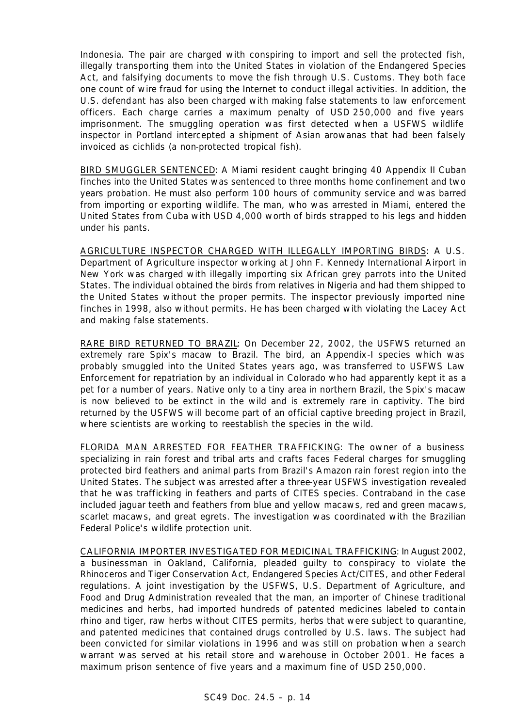Indonesia. The pair are charged with conspiring to import and sell the protected fish, illegally transporting them into the United States in violation of the Endangered Species Act, and falsifying documents to move the fish through U.S. Customs. They both face one count of wire fraud for using the Internet to conduct illegal activities. In addition, the U.S. defendant has also been charged with making false statements to law enforcement officers. Each charge carries a maximum penalty of USD 250,000 and five years imprisonment. The smuggling operation was first detected when a USFWS wildlife inspector in Portland intercepted a shipment of Asian arowanas that had been falsely invoiced as cichlids (a non-protected tropical fish).

BIRD SMUGGLER SENTENCED: A Miami resident caught bringing 40 Appendix II Cuban finches into the United States was sentenced to three months home confinement and two years probation. He must also perform 100 hours of community service and was barred from importing or exporting wildlife. The man, who was arrested in Miami, entered the United States from Cuba with USD 4,000 worth of birds strapped to his legs and hidden under his pants.

AGRICULTURE INSPECTOR CHARGED WITH ILLEGALLY IMPORTING BIRDS: A U.S. Department of Agriculture inspector working at John F. Kennedy International Airport in New York was charged with illegally importing six African grey parrots into the United States. The individual obtained the birds from relatives in Nigeria and had them shipped to the United States without the proper permits. The inspector previously imported nine finches in 1998, also without permits. He has been charged with violating the Lacey Act and making false statements.

RARE BIRD RETURNED TO BRAZIL: On December 22, 2002, the USFWS returned an extremely rare Spix's macaw to Brazil. The bird, an Appendix-I species which was probably smuggled into the United States years ago, was transferred to USFWS Law Enforcement for repatriation by an individual in Colorado who had apparently kept it as a pet for a number of years. Native only to a tiny area in northern Brazil, the Spix's macaw is now believed to be extinct in the wild and is extremely rare in captivity. The bird returned by the USFWS will become part of an official captive breeding project in Brazil, where scientists are working to reestablish the species in the wild.

FLORIDA MAN ARRESTED FOR FEATHER TRAFFICKING: The owner of a business specializing in rain forest and tribal arts and crafts faces Federal charges for smuggling protected bird feathers and animal parts from Brazil's Amazon rain forest region into the United States. The subject was arrested after a three-year USFWS investigation revealed that he was trafficking in feathers and parts of CITES species. Contraband in the case included jaguar teeth and feathers from blue and yellow macaws, red and green macaws, scarlet macaws, and great egrets. The investigation was coordinated with the Brazilian Federal Police's wildlife protection unit.

CALIFORNIA IMPORTER INVESTIGATED FOR MEDICINAL TRAFFICKING: In August 2002, a businessman in Oakland, California, pleaded guilty to conspiracy to violate the Rhinoceros and Tiger Conservation Act, Endangered Species Act/CITES, and other Federal regulations. A joint investigation by the USFWS, U.S. Department of Agriculture, and Food and Drug Administration revealed that the man, an importer of Chinese traditional medicines and herbs, had imported hundreds of patented medicines labeled to contain rhino and tiger, raw herbs without CITES permits, herbs that were subject to quarantine, and patented medicines that contained drugs controlled by U.S. laws. The subject had been convicted for similar violations in 1996 and was still on probation when a search warrant was served at his retail store and warehouse in October 2001. He faces a maximum prison sentence of five years and a maximum fine of USD 250,000.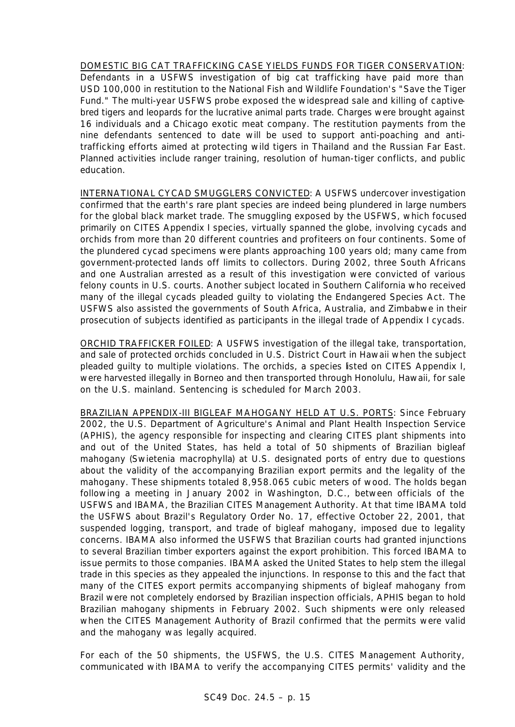DOMESTIC BIG CAT TRAFFICKING CASE YIELDS FUNDS FOR TIGER CONSERVATION: Defendants in a USFWS investigation of big cat trafficking have paid more than USD 100,000 in restitution to the National Fish and Wildlife Foundation's "Save the Tiger Fund." The multi-year USFWS probe exposed the widespread sale and killing of captivebred tigers and leopards for the lucrative animal parts trade. Charges were brought against 16 individuals and a Chicago exotic meat company. The restitution payments from the nine defendants sentenced to date will be used to support anti-poaching and antitrafficking efforts aimed at protecting wild tigers in Thailand and the Russian Far East. Planned activities include ranger training, resolution of human-tiger conflicts, and public education.

INTERNATIONAL CYCAD SMUGGLERS CONVICTED: A USFWS undercover investigation confirmed that the earth's rare plant species are indeed being plundered in large numbers for the global black market trade. The smuggling exposed by the USFWS, which focused primarily on CITES Appendix I species, virtually spanned the globe, involving cycads and orchids from more than 20 different countries and profiteers on four continents. Some of the plundered cycad specimens were plants approaching 100 years old; many came from government-protected lands off limits to collectors. During 2002, three South Africans and one Australian arrested as a result of this investigation were convicted of various felony counts in U.S. courts. Another subject located in Southern California who received many of the illegal cycads pleaded guilty to violating the Endangered Species Act. The USFWS also assisted the governments of South Africa, Australia, and Zimbabwe in their prosecution of subjects identified as participants in the illegal trade of Appendix I cycads.

ORCHID TRAFFICKER FOILED: A USFWS investigation of the illegal take, transportation, and sale of protected orchids concluded in U.S. District Court in Hawaii when the subject pleaded guilty to multiple violations. The orchids, a species listed on CITES Appendix I, were harvested illegally in Borneo and then transported through Honolulu, Hawaii, for sale on the U.S. mainland. Sentencing is scheduled for March 2003.

BRAZILIAN APPENDIX-III BIGLEAF MAHOGANY HELD AT U.S. PORTS: Since February 2002, the U.S. Department of Agriculture's Animal and Plant Health Inspection Service (APHIS), the agency responsible for inspecting and clearing CITES plant shipments into and out of the United States, has held a total of 50 shipments of Brazilian bigleaf mahogany (*Swietenia macrophylla*) at U.S. designated ports of entry due to questions about the validity of the accompanying Brazilian export permits and the legality of the mahogany. These shipments totaled 8,958.065 cubic meters of wood. The holds began following a meeting in January 2002 in Washington, D.C., between officials of the USFWS and IBAMA, the Brazilian CITES Management Authority. At that time IBAMA told the USFWS about Brazil's Regulatory Order No. 17, effective October 22, 2001, that suspended logging, transport, and trade of bigleaf mahogany, imposed due to legality concerns. IBAMA also informed the USFWS that Brazilian courts had granted injunctions to several Brazilian timber exporters against the export prohibition. This forced IBAMA to issue permits to those companies. IBAMA asked the United States to help stem the illegal trade in this species as they appealed the injunctions. In response to this and the fact that many of the CITES export permits accompanying shipments of bigleaf mahogany from Brazil were not completely endorsed by Brazilian inspection officials, APHIS began to hold Brazilian mahogany shipments in February 2002. Such shipments were only released when the CITES Management Authority of Brazil confirmed that the permits were valid and the mahogany was legally acquired.

For each of the 50 shipments, the USFWS, the U.S. CITES Management Authority, communicated with IBAMA to verify the accompanying CITES permits' validity and the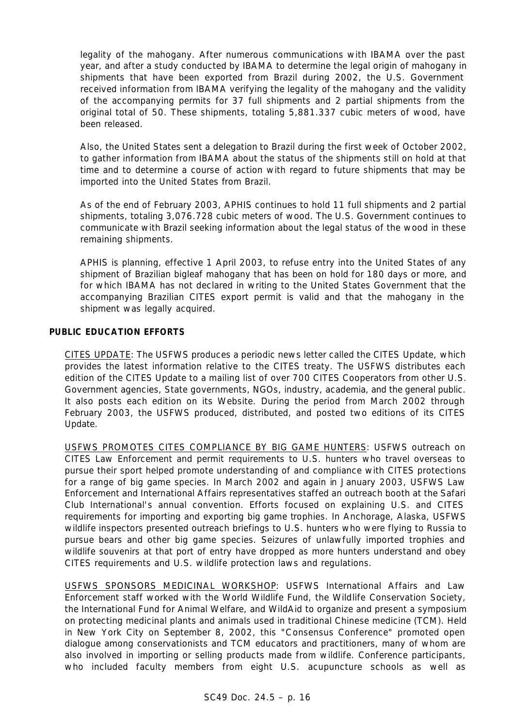legality of the mahogany. After numerous communications with IBAMA over the past year, and after a study conducted by IBAMA to determine the legal origin of mahogany in shipments that have been exported from Brazil during 2002, the U.S. Government received information from IBAMA verifying the legality of the mahogany and the validity of the accompanying permits for 37 full shipments and 2 partial shipments from the original total of 50. These shipments, totaling 5,881.337 cubic meters of wood, have been released.

Also, the United States sent a delegation to Brazil during the first week of October 2002, to gather information from IBAMA about the status of the shipments still on hold at that time and to determine a course of action with regard to future shipments that may be imported into the United States from Brazil.

As of the end of February 2003, APHIS continues to hold 11 full shipments and 2 partial shipments, totaling 3,076.728 cubic meters of wood. The U.S. Government continues to communicate with Brazil seeking information about the legal status of the wood in these remaining shipments.

APHIS is planning, effective 1 April 2003, to refuse entry into the United States of any shipment of Brazilian bigleaf mahogany that has been on hold for 180 days or more, and for which IBAMA has not declared in writing to the United States Government that the accompanying Brazilian CITES export permit is valid and that the mahogany in the shipment was legally acquired.

#### **PUBLIC EDUCATION EFFORTS**

CITES UPDATE: The USFWS produces a periodic news letter called the CITES Update, which provides the latest information relative to the CITES treaty. The USFWS distributes each edition of the CITES Update to a mailing list of over 700 CITES Cooperators from other U.S. Government agencies, State governments, NGOs, industry, academia, and the general public. It also posts each edition on its Website. During the period from March 2002 through February 2003, the USFWS produced, distributed, and posted two editions of its CITES Update.

USFWS PROMOTES CITES COMPLIANCE BY BIG GAME HUNTERS: USFWS outreach on CITES Law Enforcement and permit requirements to U.S. hunters who travel overseas to pursue their sport helped promote understanding of and compliance with CITES protections for a range of big game species. In March 2002 and again in January 2003, USFWS Law Enforcement and International Affairs representatives staffed an outreach booth at the Safari Club International's annual convention. Efforts focused on explaining U.S. and CITES requirements for importing and exporting big game trophies. In Anchorage, Alaska, USFWS wildlife inspectors presented outreach briefings to U.S. hunters who were flying to Russia to pursue bears and other big game species. Seizures of unlawfully imported trophies and wildlife souvenirs at that port of entry have dropped as more hunters understand and obey CITES requirements and U.S. wildlife protection laws and regulations.

USFWS SPONSORS MEDICINAL WORKSHOP: USFWS International Affairs and Law Enforcement staff worked with the World Wildlife Fund, the Wildlife Conservation Society, the International Fund for Animal Welfare, and WildAid to organize and present a symposium on protecting medicinal plants and animals used in traditional Chinese medicine (TCM). Held in New York City on September 8, 2002, this "Consensus Conference" promoted open dialogue among conservationists and TCM educators and practitioners, many of whom are also involved in importing or selling products made from wildlife. Conference participants, who included faculty members from eight U.S. acupuncture schools as well as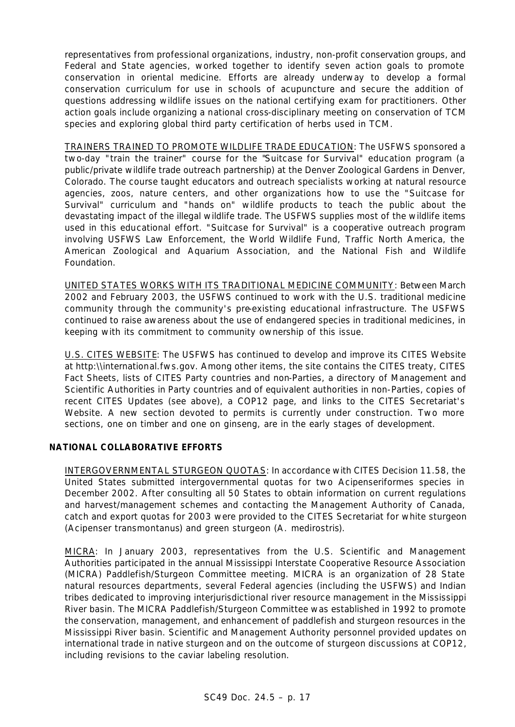representatives from professional organizations, industry, non-profit conservation groups, and Federal and State agencies, worked together to identify seven action goals to promote conservation in oriental medicine. Efforts are already underway to develop a formal conservation curriculum for use in schools of acupuncture and secure the addition of questions addressing wildlife issues on the national certifying exam for practitioners. Other action goals include organizing a national cross-disciplinary meeting on conservation of TCM species and exploring global third party certification of herbs used in TCM.

TRAINERS TRAINED TO PROMOTE WILDLIFE TRADE EDUCATION: The USFWS sponsored a two-day "train the trainer" course for the "Suitcase for Survival" education program (a public/private wildlife trade outreach partnership) at the Denver Zoological Gardens in Denver, Colorado. The course taught educators and outreach specialists working at natural resource agencies, zoos, nature centers, and other organizations how to use the "Suitcase for Survival" curriculum and "hands on" wildlife products to teach the public about the devastating impact of the illegal wildlife trade. The USFWS supplies most of the wildlife items used in this educational effort. "Suitcase for Survival" is a cooperative outreach program involving USFWS Law Enforcement, the World Wildlife Fund, Traffic North America, the American Zoological and Aquarium Association, and the National Fish and Wildlife Foundation.

UNITED STATES WORKS WITH ITS TRADITIONAL MEDICINE COMMUNITY: Between March 2002 and February 2003, the USFWS continued to work with the U.S. traditional medicine community through the community's pre-existing educational infrastructure. The USFWS continued to raise awareness about the use of endangered species in traditional medicines, in keeping with its commitment to community ownership of this issue.

U.S. CITES WEBSITE: The USFWS has continued to develop and improve its CITES Website at http:\\international.fws.gov. Among other items, the site contains the CITES treaty, CITES Fact Sheets, lists of CITES Party countries and non-Parties, a directory of Management and Scientific Authorities in Party countries and of equivalent authorities in non-Parties, copies of recent CITES Updates (see above), a COP12 page, and links to the CITES Secretariat's Website. A new section devoted to permits is currently under construction. Two more sections, one on timber and one on ginseng, are in the early stages of development.

# **NATIONAL COLLABORATIVE EFFORTS**

INTERGOVERNMENTAL STURGEON QUOTAS: In accordance with CITES Decision 11.58, the United States submitted intergovernmental quotas for two Acipenseriformes species in December 2002. After consulting all 50 States to obtain information on current regulations and harvest/management schemes and contacting the Management Authority of Canada, catch and export quotas for 2003 were provided to the CITES Secretariat for white sturgeon (*Acipenser transmontanus*) and green sturgeon (*A. medirostris*).

MICRA: In January 2003, representatives from the U.S. Scientific and Management Authorities participated in the annual Mississippi Interstate Cooperative Resource Association (MICRA) Paddlefish/Sturgeon Committee meeting. MICRA is an organization of 28 State natural resources departments, several Federal agencies (including the USFWS) and Indian tribes dedicated to improving interjurisdictional river resource management in the Mississippi River basin. The MICRA Paddlefish/Sturgeon Committee was established in 1992 to promote the conservation, management, and enhancement of paddlefish and sturgeon resources in the Mississippi River basin. Scientific and Management Authority personnel provided updates on international trade in native sturgeon and on the outcome of sturgeon discussions at COP12, including revisions to the caviar labeling resolution.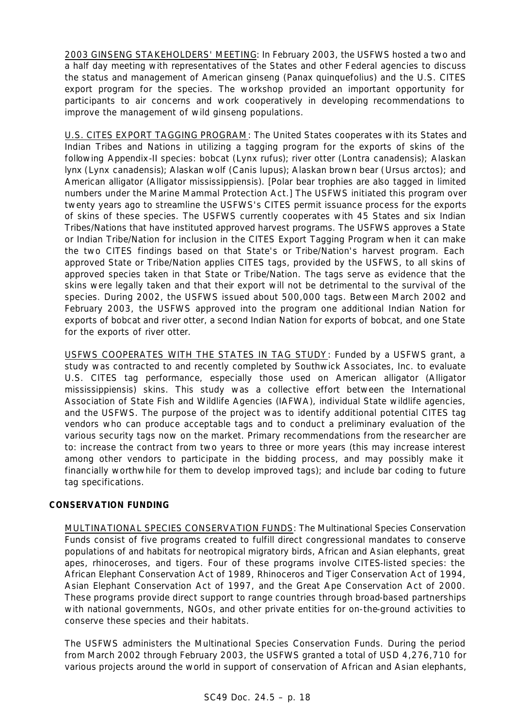2003 GINSENG STAKEHOLDERS' MEETING: In February 2003, the USFWS hosted a two and a half day meeting with representatives of the States and other Federal agencies to discuss the status and management of American ginseng (*Panax quinquefolius*) and the U.S. CITES export program for the species. The workshop provided an important opportunity for participants to air concerns and work cooperatively in developing recommendations to improve the management of wild ginseng populations.

U.S. CITES EXPORT TAGGING PROGRAM: The United States cooperates with its States and Indian Tribes and Nations in utilizing a tagging program for the exports of skins of the following Appendix-II species: bobcat (*Lynx rufus*); river otter (*Lontra canadensis*); Alaskan lynx ( *Lynx canadensis*); Alaskan wolf (*Canis lupus*); Alaskan brown bear ( *Ursus arctos*); and American alligator (*Alligator mississippiensis*). [Polar bear trophies are also tagged in limited numbers under the Marine Mammal Protection Act.] The USFWS initiated this program over twenty years ago to streamline the USFWS's CITES permit issuance process for the exports of skins of these species. The USFWS currently cooperates with 45 States and six Indian Tribes/Nations that have instituted approved harvest programs. The USFWS approves a State or Indian Tribe/Nation for inclusion in the CITES Export Tagging Program when it can make the two CITES findings based on that State's or Tribe/Nation's harvest program. Each approved State or Tribe/Nation applies CITES tags, provided by the USFWS, to all skins of approved species taken in that State or Tribe/Nation. The tags serve as evidence that the skins were legally taken and that their export will not be detrimental to the survival of the species. During 2002, the USFWS issued about 500,000 tags. Between March 2002 and February 2003, the USFWS approved into the program one additional Indian Nation for exports of bobcat and river otter, a second Indian Nation for exports of bobcat, and one State for the exports of river otter.

USFWS COOPERATES WITH THE STATES IN TAG STUDY: Funded by a USFWS grant, a study was contracted to and recently completed by Southwick Associates, Inc. to evaluate U.S. CITES tag performance, especially those used on American alligator (*Alligator mississippiensis*) skins. This study was a collective effort between the International Association of State Fish and Wildlife Agencies (IAFWA), individual State wildlife agencies, and the USFWS. The purpose of the project was to identify additional potential CITES tag vendors who can produce acceptable tags and to conduct a preliminary evaluation of the various security tags now on the market. Primary recommendations from the researcher are to: increase the contract from two years to three or more years (this may increase interest among other vendors to participate in the bidding process, and may possibly make it financially worthwhile for them to develop improved tags); and include bar coding to future tag specifications.

# **CONSERVATION FUNDING**

MULTINATIONAL SPECIES CONSERVATION FUNDS: The Multinational Species Conservation Funds consist of five programs created to fulfill direct congressional mandates to conserve populations of and habitats for neotropical migratory birds, African and Asian elephants, great apes, rhinoceroses, and tigers. Four of these programs involve CITES-listed species: the African Elephant Conservation Act of 1989, Rhinoceros and Tiger Conservation Act of 1994, Asian Elephant Conservation Act of 1997, and the Great Ape Conservation Act of 2000. These programs provide direct support to range countries through broad-based partnerships with national governments, NGOs, and other private entities for on-the-ground activities to conserve these species and their habitats.

The USFWS administers the Multinational Species Conservation Funds. During the period from March 2002 through February 2003, the USFWS granted a total of USD 4,276,710 for various projects around the world in support of conservation of African and Asian elephants,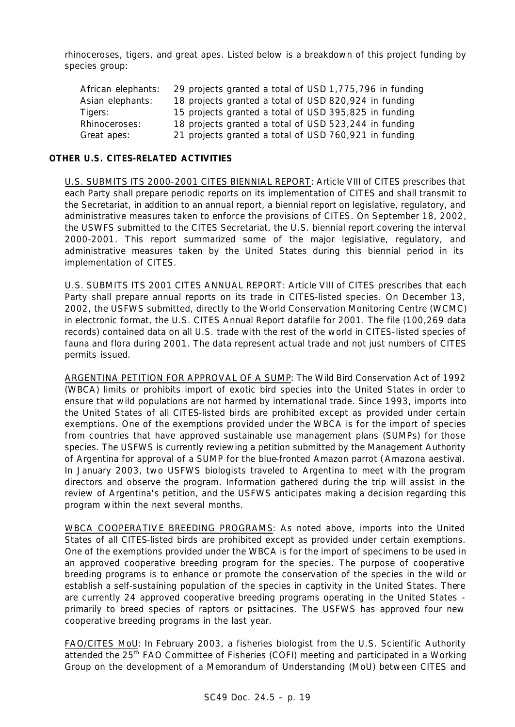rhinoceroses, tigers, and great apes. Listed below is a breakdown of this project funding by species group:

| African elephants: | 29 projects granted a total of USD 1,775,796 in funding |
|--------------------|---------------------------------------------------------|
| Asian elephants:   | 18 projects granted a total of USD 820,924 in funding   |
| Tigers:            | 15 projects granted a total of USD 395,825 in funding   |
| Rhinoceroses:      | 18 projects granted a total of USD 523,244 in funding   |
| Great apes:        | 21 projects granted a total of USD 760,921 in funding   |

#### **OTHER U.S. CITES-RELATED ACTIVITIES**

U.S. SUBMITS ITS 2000-2001 CITES BIENNIAL REPORT: Article VIII of CITES prescribes that each Party shall prepare periodic reports on its implementation of CITES and shall transmit to the Secretariat, in addition to an annual report, a biennial report on legislative, regulatory, and administrative measures taken to enforce the provisions of CITES. On September 18, 2002, the USWFS submitted to the CITES Secretariat, the U.S. biennial report covering the interval 2000-2001. This report summarized some of the major legislative, regulatory, and administrative measures taken by the United States during this biennial period in its implementation of CITES.

U.S. SUBMITS ITS 2001 CITES ANNUAL REPORT: Article VIII of CITES prescribes that each Party shall prepare annual reports on its trade in CITES-listed species. On December 13, 2002, the USFWS submitted, directly to the World Conservation Monitoring Centre (WCMC) in electronic format, the U.S. CITES Annual Report datafile for 2001. The file (100,269 data records) contained data on all U.S. trade with the rest of the world in CITES-listed species of fauna and flora during 2001. The data represent actual trade and not just numbers of CITES permits issued.

ARGENTINA PETITION FOR APPROVAL OF A SUMP: The Wild Bird Conservation Act of 1992 (WBCA) limits or prohibits import of exotic bird species into the United States in order to ensure that wild populations are not harmed by international trade. Since 1993, imports into the United States of all CITES-listed birds are prohibited except as provided under certain exemptions. One of the exemptions provided under the WBCA is for the import of species from countries that have approved sustainable use management plans (SUMPs) for those species. The USFWS is currently reviewing a petition submitted by the Management Authority of Argentina for approval of a SUMP for the blue-fronted Amazon parrot ( *Amazona aestiva*). In January 2003, two USFWS biologists traveled to Argentina to meet with the program directors and observe the program. Information gathered during the trip will assist in the review of Argentina's petition, and the USFWS anticipates making a decision regarding this program within the next several months.

WBCA COOPERATIVE BREEDING PROGRAMS: As noted above, imports into the United States of all CITES-listed birds are prohibited except as provided under certain exemptions. One of the exemptions provided under the WBCA is for the import of specimens to be used in an approved cooperative breeding program for the species. The purpose of cooperative breeding programs is to enhance or promote the conservation of the species in the wild or establish a self-sustaining population of the species in captivity in the United States. There are currently 24 approved cooperative breeding programs operating in the United States primarily to breed species of raptors or psittacines. The USFWS has approved four new cooperative breeding programs in the last year.

FAO/CITES MoU: In February 2003, a fisheries biologist from the U.S. Scientific Authority attended the 25<sup>th</sup> FAO Committee of Fisheries (COFI) meeting and participated in a Working Group on the development of a Memorandum of Understanding (MoU) between CITES and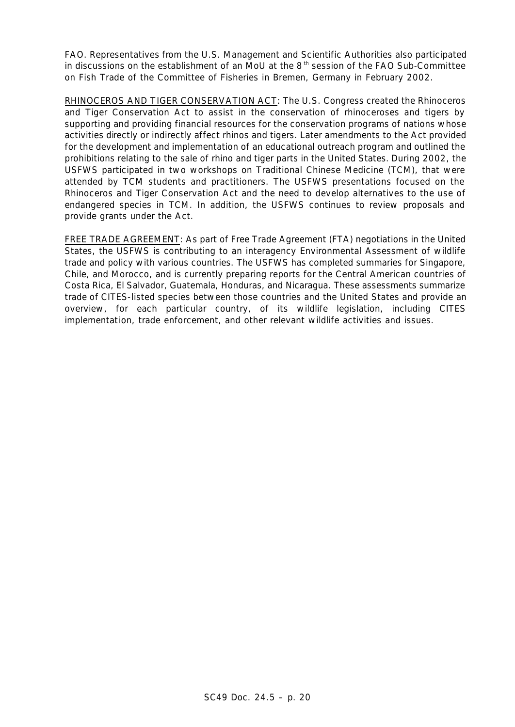FAO. Representatives from the U.S. Management and Scientific Authorities also participated in discussions on the establishment of an MoU at the  $8<sup>th</sup>$  session of the FAO Sub-Committee on Fish Trade of the Committee of Fisheries in Bremen, Germany in February 2002.

RHINOCEROS AND TIGER CONSERVATION ACT: The U.S. Congress created the Rhinoceros and Tiger Conservation Act to assist in the conservation of rhinoceroses and tigers by supporting and providing financial resources for the conservation programs of nations whose activities directly or indirectly affect rhinos and tigers. Later amendments to the Act provided for the development and implementation of an educational outreach program and outlined the prohibitions relating to the sale of rhino and tiger parts in the United States. During 2002, the USFWS participated in two workshops on Traditional Chinese Medicine (TCM), that were attended by TCM students and practitioners. The USFWS presentations focused on the Rhinoceros and Tiger Conservation Act and the need to develop alternatives to the use of endangered species in TCM. In addition, the USFWS continues to review proposals and provide grants under the Act.

FREE TRADE AGREEMENT: As part of Free Trade Agreement (FTA) negotiations in the United States, the USFWS is contributing to an interagency Environmental Assessment of wildlife trade and policy with various countries. The USFWS has completed summaries for Singapore, Chile, and Morocco, and is currently preparing reports for the Central American countries of Costa Rica, El Salvador, Guatemala, Honduras, and Nicaragua. These assessments summarize trade of CITES-listed species between those countries and the United States and provide an overview, for each particular country, of its wildlife legislation, including CITES implementation, trade enforcement, and other relevant wildlife activities and issues.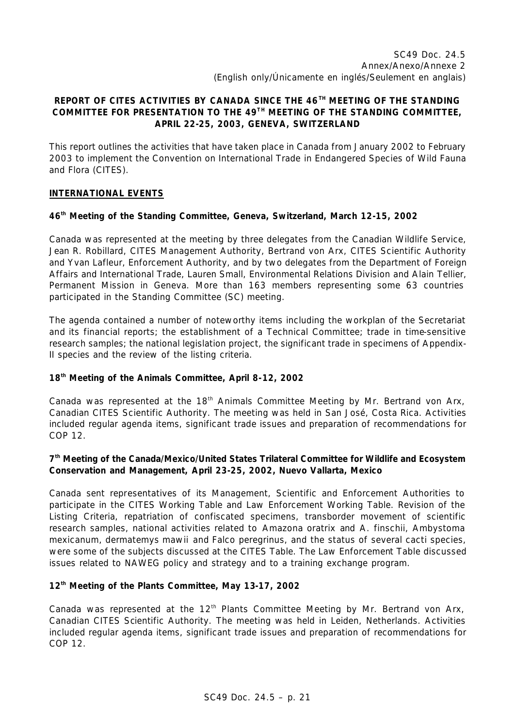# **REPORT OF CITES ACTIVITIES BY CANADA SINCE THE 46TH MEETING OF THE STANDING COMMITTEE FOR PRESENTATION TO THE 49TH MEETING OF THE STANDING COMMITTEE, APRIL 22-25, 2003, GENEVA, SWITZERLAND**

This report outlines the activities that have taken place in Canada from January 2002 to February 2003 to implement the Convention on International Trade in Endangered Species of Wild Fauna and Flora (CITES).

# **INTERNATIONAL EVENTS**

# **46th Meeting of the Standing Committee, Geneva, Switzerland, March 12-15, 2002**

Canada was represented at the meeting by three delegates from the Canadian Wildlife Service, Jean R. Robillard, CITES Management Authority, Bertrand von Arx, CITES Scientific Authority and Yvan Lafleur, Enforcement Authority, and by two delegates from the Department of Foreign Affairs and International Trade, Lauren Small, Environmental Relations Division and Alain Tellier, Permanent Mission in Geneva. More than 163 members representing some 63 countries participated in the Standing Committee (SC) meeting.

The agenda contained a number of noteworthy items including the workplan of the Secretariat and its financial reports; the establishment of a Technical Committee; trade in time-sensitive research samples; the national legislation project, the significant trade in specimens of Appendix-II species and the review of the listing criteria.

# **18th Meeting of the Animals Committee, April 8-12, 2002**

Canada was represented at the 18<sup>th</sup> Animals Committee Meeting by Mr. Bertrand von Arx, Canadian CITES Scientific Authority. The meeting was held in San José, Costa Rica. Activities included regular agenda items, significant trade issues and preparation of recommendations for COP 12.

# **7 th Meeting of the Canada/Mexico/United States Trilateral Committee for Wildlife and Ecosystem Conservation and Management, April 23-25, 2002, Nuevo Vallarta, Mexico**

Canada sent representatives of its Management, Scientific and Enforcement Authorities to participate in the CITES Working Table and Law Enforcement Working Table. Revision of the Listing Criteria, repatriation of confiscated specimens, transborder movement of scientific research samples, national activities related to *Amazona oratrix* and *A. finschii, Ambystoma mexicanum, dermatemys mawii* and *Falco peregrinus,* and the status of several cacti species, were some of the subjects discussed at the CITES Table. The Law Enforcement Table discussed issues related to NAWEG policy and strategy and to a training exchange program.

# **12th Meeting of the Plants Committee, May 13-17, 2002**

Canada was represented at the  $12<sup>th</sup>$  Plants Committee Meeting by Mr. Bertrand von Arx, Canadian CITES Scientific Authority. The meeting was held in Leiden, Netherlands. Activities included regular agenda items, significant trade issues and preparation of recommendations for COP 12.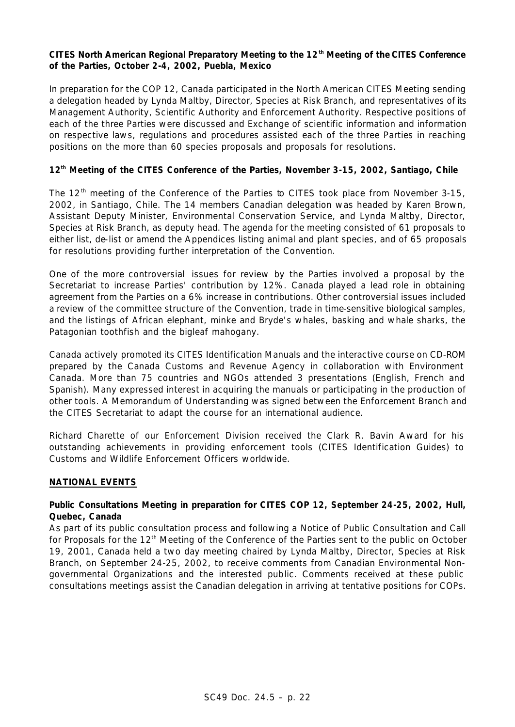#### **CITES North American Regional Preparatory Meeting to the 12th Meeting of the CITES Conference of the Parties, October 2-4, 2002, Puebla, Mexico**

In preparation for the COP 12, Canada participated in the North American CITES Meeting sending a delegation headed by Lynda Maltby, Director, Species at Risk Branch, and representatives of its Management Authority, Scientific Authority and Enforcement Authority. Respective positions of each of the three Parties were discussed and Exchange of scientific information and information on respective laws, regulations and procedures assisted each of the three Parties in reaching positions on the more than 60 species proposals and proposals for resolutions.

# **12th Meeting of the CITES Conference of the Parties, November 3-15, 2002, Santiago, Chile**

The  $12<sup>th</sup>$  meeting of the Conference of the Parties to CITES took place from November 3-15, 2002, in Santiago, Chile. The 14 members Canadian delegation was headed by Karen Brown, Assistant Deputy Minister, Environmental Conservation Service, and Lynda Maltby, Director, Species at Risk Branch, as deputy head. The agenda for the meeting consisted of 61 proposals to either list, de-list or amend the Appendices listing animal and plant species, and of 65 proposals for resolutions providing further interpretation of the Convention.

One of the more controversial issues for review by the Parties involved a proposal by the Secretariat to increase Parties' contribution by 12%. Canada played a lead role in obtaining agreement from the Parties on a 6% increase in contributions. Other controversial issues included a review of the committee structure of the Convention, trade in time-sensitive biological samples, and the listings of African elephant, minke and Bryde's whales, basking and whale sharks, the Patagonian toothfish and the bigleaf mahogany.

Canada actively promoted its CITES Identification Manuals and the interactive course on CD-ROM prepared by the Canada Customs and Revenue Agency in collaboration with Environment Canada. More than 75 countries and NGOs attended 3 presentations (English, French and Spanish). Many expressed interest in acquiring the manuals or participating in the production of other tools. A Memorandum of Understanding was signed between the Enforcement Branch and the CITES Secretariat to adapt the course for an international audience.

Richard Charette of our Enforcement Division received the Clark R. Bavin Award for his outstanding achievements in providing enforcement tools (CITES Identification Guides) to Customs and Wildlife Enforcement Officers worldwide.

#### **NATIONAL EVENTS**

# **Public Consultations Meeting in preparation for CITES COP 12, September 24-25, 2002, Hull, Quebec, Canada**

As part of its public consultation process and following a *Notice of Public Consultation and Call for Proposals for the 12th Meeting of the Conference of the Parties* sent to the public on October 19, 2001, Canada held a two day meeting chaired by Lynda Maltby, Director, Species at Risk Branch, on September 24-25, 2002, to receive comments from Canadian Environmental Nongovernmental Organizations and the interested public. Comments received at these public consultations meetings assist the Canadian delegation in arriving at tentative positions for COPs.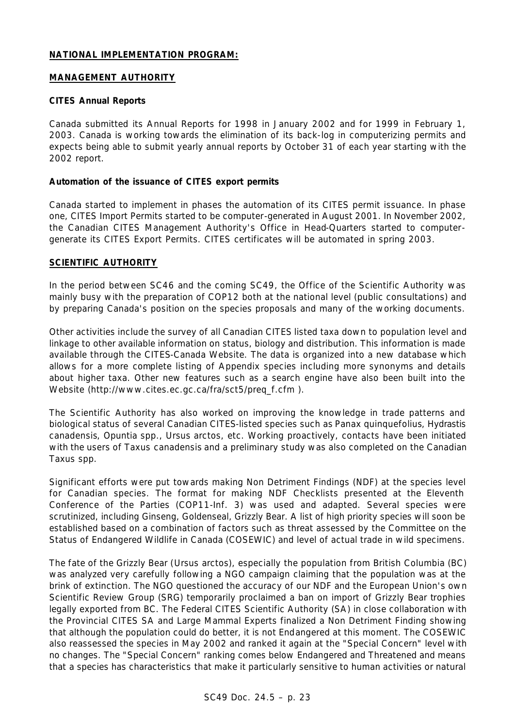#### **NATIONAL IMPLEMENTATION PROGRAM:**

#### **MANAGEMENT AUTHORITY**

### **CITES Annual Reports**

Canada submitted its Annual Reports for 1998 in January 2002 and for 1999 in February 1, 2003. Canada is working towards the elimination of its back-log in computerizing permits and expects being able to submit yearly annual reports by October 31 of each year starting with the 2002 report.

#### **Automation of the issuance of CITES export permits**

Canada started to implement in phases the automation of its CITES permit issuance. In phase one, CITES Import Permits started to be computer-generated in August 2001. In November 2002, the Canadian CITES Management Authority's Office in Head-Quarters started to computergenerate its CITES Export Permits. CITES certificates will be automated in spring 2003.

#### **SCIENTIFIC AUTHORITY**

In the period between SC46 and the coming SC49, the Office of the Scientific Authority was mainly busy with the preparation of COP12 both at the national level (public consultations) and by preparing Canada's position on the species proposals and many of the working documents.

Other activities include the survey of all Canadian CITES listed taxa down to population level and linkage to other available information on status, biology and distribution. This information is made available through the CITES-Canada Website. The data is organized into a new database which allows for a more complete listing of Appendix species including more synonyms and details about higher taxa. Other new features such as a search engine have also been built into the Website (http://www.cites.ec.gc.ca/fra/sct5/preq\_f.cfm ).

The Scientific Authority has also worked on improving the knowledge in trade patterns and biological status of several Canadian CITES-listed species such as *Panax quinquefolius*, *Hydrastis canadensis*, *Opuntia* spp., *Ursus arctos*, etc. Working proactively, contacts have been initiated with the users of *Taxus canadensis* and a preliminary study was also completed on the Canadian *Taxus* spp.

Significant efforts were put towards making Non Detriment Findings (NDF) at the species level for Canadian species. The format for making NDF Checklists presented at the Eleventh Conference of the Parties (COP11-Inf. 3) was used and adapted. Several species were scrutinized, including Ginseng, Goldenseal, Grizzly Bear. A list of high priority species will soon be established based on a combination of factors such as threat assessed by the Committee on the Status of Endangered Wildlife in Canada (COSEWIC) and level of actual trade in wild specimens.

The fate of the Grizzly Bear (*Ursus arctos*), especially the population from British Columbia (BC) was analyzed very carefully following a NGO campaign claiming that the population was at the brink of extinction. The NGO questioned the accuracy of our NDF and the European Union's own Scientific Review Group (SRG) temporarily proclaimed a ban on import of Grizzly Bear trophies legally exported from BC. The Federal CITES Scientific Authority (SA) in close collaboration with the Provincial CITES SA and Large Mammal Experts finalized a Non Detriment Finding showing that although the population could do better, it is not Endangered at this moment. The COSEWIC also reassessed the species in May 2002 and ranked it again at the "Special Concern" level with no changes. The "Special Concern" ranking comes below Endangered and Threatened and means that *a species has characteristics that make it particularly sensitive to human activities or natural*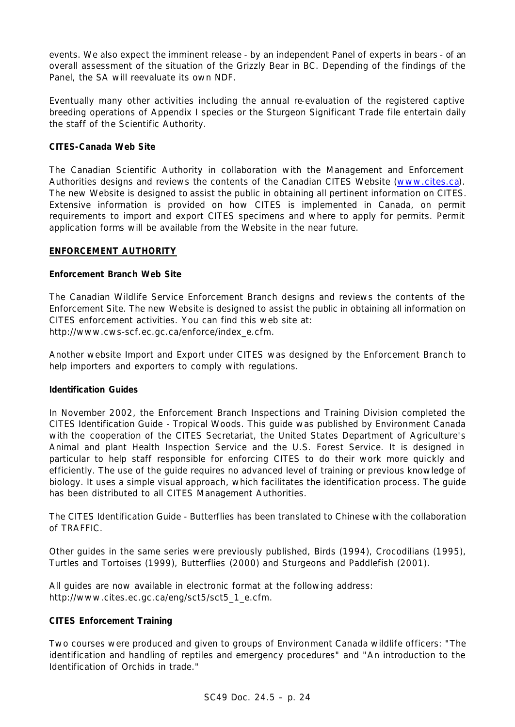*events*. We also expect the imminent release - by an independent Panel of experts in bears - of an overall assessment of the situation of the Grizzly Bear in BC. Depending of the findings of the Panel, the SA will reevaluate its own NDF.

Eventually many other activities including the annual re-evaluation of the registered captive breeding operations of Appendix I species or the Sturgeon Significant Trade file entertain daily the staff of the Scientific Authority.

# **CITES-Canada Web Site**

The Canadian Scientific Authority in collaboration with the Management and Enforcement Authorities designs and reviews the contents of the Canadian CITES Website (www.cites.ca). The new Website is designed to assist the public in obtaining all pertinent information on CITES. Extensive information is provided on how CITES is implemented in Canada, on permit requirements to import and export CITES specimens and where to apply for permits. Permit application forms will be available from the Website in the near future.

#### **ENFORCEMENT AUTHORITY**

#### **Enforcement Branch Web Site**

The Canadian Wildlife Service Enforcement Branch designs and reviews the contents of the Enforcement Site. The new Website is designed to assist the public in obtaining all information on CITES enforcement activities. You can find this web site at: http://www.cws-scf.ec.gc.ca/enforce/index\_e.cfm.

Another website *Import and Export under CITES* was designed by the Enforcement Branch to help importers and exporters to comply with regulations.

#### **Identification Guides**

In November 2002, the Enforcement Branch Inspections and Training Division completed the CITES Identification Guide - Tropical Woods. This guide was published by Environment Canada with the cooperation of the CITES Secretariat, the United States Department of Agriculture's Animal and plant Health Inspection Service and the U.S. Forest Service. It is designed in particular to help staff responsible for enforcing CITES to do their work more quickly and efficiently. The use of the guide requires no advanced level of training or previous knowledge of biology. It uses a simple visual approach, which facilitates the identification process. The guide has been distributed to all CITES Management Authorities.

The CITES Identification Guide - Butterflies has been translated to Chinese with the collaboration of TRAFFIC.

Other guides in the same series were previously published, Birds (1994), Crocodilians (1995), Turtles and Tortoises (1999), Butterflies (2000) and Sturgeons and Paddlefish (2001).

All guides are now available in electronic format at the following address: http://www.cites.ec.gc.ca/eng/sct5/sct5\_1\_e.cfm.

#### **CITES Enforcement Training**

Two courses were produced and given to groups of Environment Canada wildlife officers: "The identification and handling of reptiles and emergency procedures" and "An introduction to the Identification of Orchids in trade."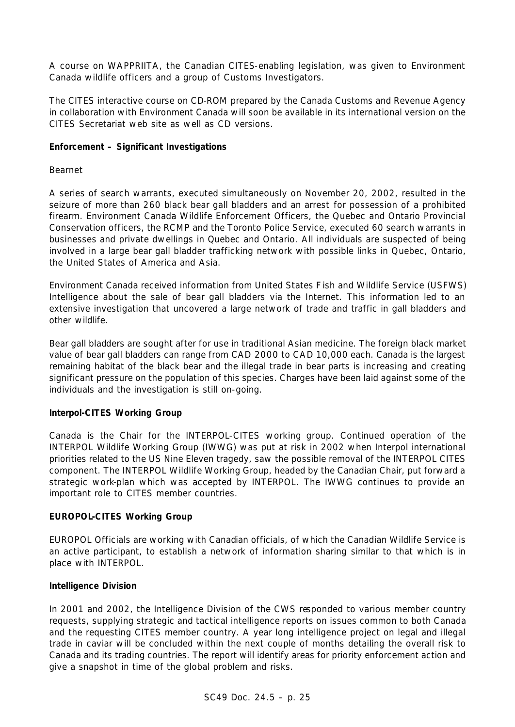A course on WAPPRIITA, the Canadian CITES-enabling legislation, was given to Environment Canada wildlife officers and a group of Customs Investigators.

The CITES interactive course on CD-ROM prepared by the Canada Customs and Revenue Agency in collaboration with Environment Canada will soon be available in its international version on the CITES Secretariat web site as well as CD versions.

#### **Enforcement – Significant Investigations**

#### *Bearnet*

A series of search warrants, executed simultaneously on November 20, 2002, resulted in the seizure of more than 260 black bear gall bladders and an arrest for possession of a prohibited firearm. Environment Canada Wildlife Enforcement Officers, the Quebec and Ontario Provincial Conservation officers, the RCMP and the Toronto Police Service, executed 60 search warrants in businesses and private dwellings in Quebec and Ontario. All individuals are suspected of being involved in a large bear gall bladder trafficking network with possible links in Quebec, Ontario, the United States of America and Asia.

Environment Canada received information from United States F ish and Wildlife Service (USFWS) Intelligence about the sale of bear gall bladders via the Internet. This information led to an extensive investigation that uncovered a large network of trade and traffic in gall bladders and other wildlife.

Bear gall bladders are sought after for use in traditional Asian medicine. The foreign black market value of bear gall bladders can range from CAD 2000 to CAD 10,000 each. Canada is the largest remaining habitat of the black bear and the illegal trade in bear parts is increasing and creating significant pressure on the population of this species. Charges have been laid against some of the individuals and the investigation is still on-going.

# **Interpol-CITES Working Group**

Canada is the Chair for the INTERPOL-CITES working group. Continued operation of the INTERPOL Wildlife Working Group (IWWG) was put at risk in 2002 when Interpol international priorities related to the US Nine Eleven tragedy, saw the possible removal of the INTERPOL CITES component. The INTERPOL Wildlife Working Group, headed by the Canadian Chair, put forward a strategic work-plan which was accepted by INTERPOL. The IWWG continues to provide an important role to CITES member countries.

# **EUROPOL-CITES Working Group**

EUROPOL Officials are working with Canadian officials, of which the Canadian Wildlife Service is an active participant, to establish a network of information sharing similar to that which is in place with INTERPOL.

#### **Intelligence Division**

In 2001 and 2002, the Intelligence Division of the CWS responded to various member country requests, supplying strategic and tactical intelligence reports on issues common to both Canada and the requesting CITES member country. A year long intelligence project on legal and illegal trade in caviar will be concluded within the next couple of months detailing the overall risk to Canada and its trading countries. The report will identify areas for priority enforcement action and give a snapshot in time of the global problem and risks.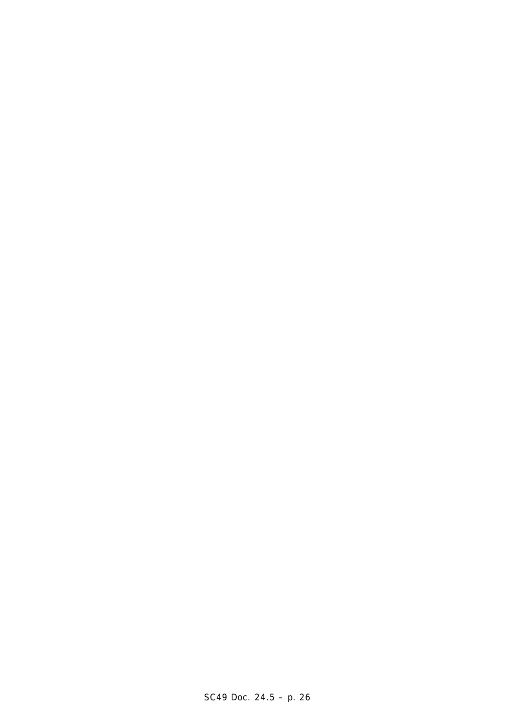SC49 Doc. 24.5 – p. 26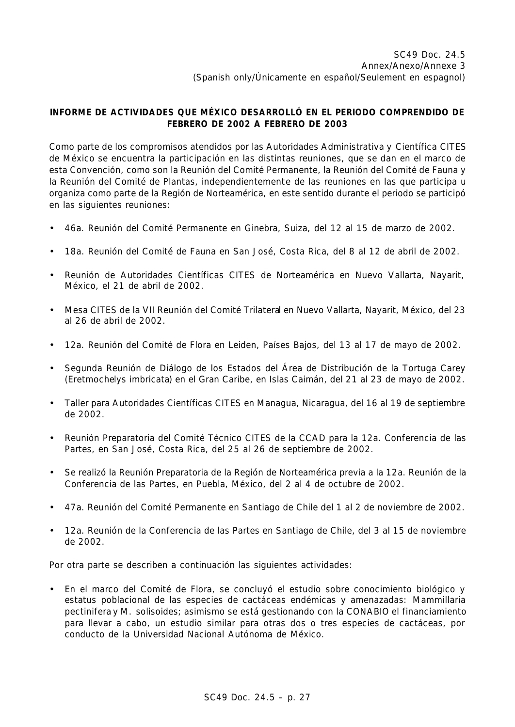# **INFORME DE ACTIVIDADES QUE MÉXICO DESARROLLÓ EN EL PERIODO COMPRENDIDO DE FEBRERO DE 2002 A FEBRERO DE 2003**

Como parte de los compromisos atendidos por las Autoridades Administrativa y Científica CITES de México se encuentra la participación en las distintas reuniones, que se dan en el marco de esta Convención, como son la Reunión del Comité Permanente, la Reunión del Comité de Fauna y la Reunión del Comité de Plantas, independientemente de las reuniones en las que participa u organiza como parte de la Región de Norteamérica, en este sentido durante el periodo se participó en las siguientes reuniones:

- 46a. Reunión del Comité Permanente en Ginebra, Suiza, del 12 al 15 de marzo de 2002.
- 18a. Reunión del Comité de Fauna en San José, Costa Rica, del 8 al 12 de abril de 2002.
- Reunión de Autoridades Científicas CITES de Norteamérica en Nuevo Vallarta, Nayarit, México, el 21 de abril de 2002.
- Mesa CITES de la VII Reunión del Comité Trilateral en Nuevo Vallarta, Nayarit, México, del 23 al 26 de abril de 2002.
- 12a. Reunión del Comité de Flora en Leiden, Países Bajos, del 13 al 17 de mayo de 2002.
- Segunda Reunión de Diálogo de los Estados del Área de Distribución de la Tortuga Carey (*Eretmochelys imbricata*) en el Gran Caribe, en Islas Caimán, del 21 al 23 de mayo de 2002.
- Taller para Autoridades Científicas CITES en Managua, Nicaragua, del 16 al 19 de septiembre de 2002.
- Reunión Preparatoria del Comité Técnico CITES de la CCAD para la 12a. Conferencia de las Partes, en San José, Costa Rica, del 25 al 26 de septiembre de 2002.
- Se realizó la Reunión Preparatoria de la Región de Norteamérica previa a la 12a. Reunión de la Conferencia de las Partes, en Puebla, México, del 2 al 4 de octubre de 2002.
- 47a. Reunión del Comité Permanente en Santiago de Chile del 1 al 2 de noviembre de 2002.
- 12a. Reunión de la Conferencia de las Partes en Santiago de Chile, del 3 al 15 de noviembre de 2002.

Por otra parte se describen a continuación las siguientes actividades:

• En el marco del Comité de Flora, se concluyó el estudio sobre conocimiento biológico y estatus poblacional de las especies de cactáceas endémicas y amenazadas: *Mammillaria pectinifera* y *M. solisoides*; asimismo se está gestionando con la CONABIO el financiamiento para llevar a cabo, un estudio similar para otras dos o tres especies de cactáceas, por conducto de la Universidad Nacional Autónoma de México.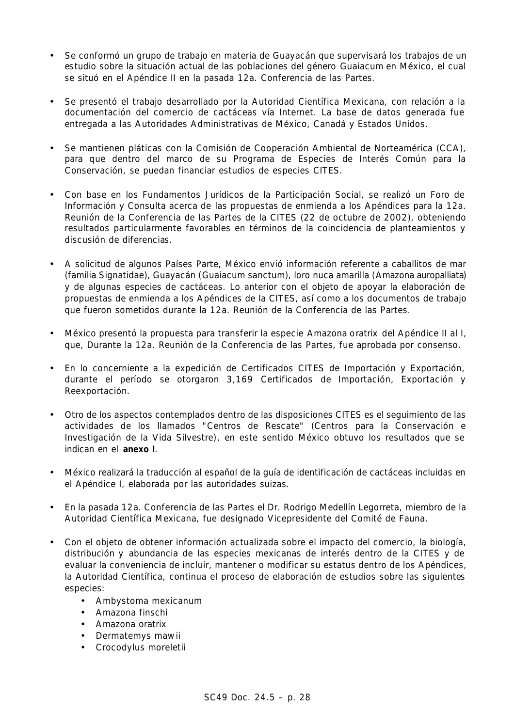- Se conformó un grupo de trabajo en materia de Guayacán que supervisará los trabajos de un estudio sobre la situación actual de las poblaciones del género *Guaiacum* en México, el cual se situó en el Apéndice II en la pasada 12a. Conferencia de las Partes.
- Se presentó el trabajo desarrollado por la Autoridad Científica Mexicana, con relación a la documentación del comercio de cactáceas vía Internet. La base de datos generada fue entregada a las Autoridades Administrativas de México, Canadá y Estados Unidos.
- Se mantienen pláticas con la Comisión de Cooperación Ambiental de Norteamérica (CCA), para que dentro del marco de su Programa de Especies de Interés Común para la Conservación, se puedan financiar estudios de especies CITES.
- Con base en los Fundamentos Jurídicos de la Participación Social, se realizó un Foro de Información y Consulta acerca de las propuestas de enmienda a los Apéndices para la 12a. Reunión de la Conferencia de las Partes de la CITES (22 de octubre de 2002), obteniendo resultados particularmente favorables en términos de la coincidencia de planteamientos y discusión de diferencias.
- A solicitud de algunos Países Parte, México envió información referente a caballitos de mar (familia Signatidae), Guayacán (*Guaiacum sanctum*), loro nuca amarilla (*Amazona auropalliata*) y de algunas especies de cactáceas. Lo anterior con el objeto de apoyar la elaboración de propuestas de enmienda a los Apéndices de la CITES, así como a los documentos de trabajo que fueron sometidos durante la 12a. Reunión de la Conferencia de las Partes.
- México presentó la propuesta para transferir la especie *Amazona oratrix* del Apéndice II al I, que, Durante la 12a. Reunión de la Conferencia de las Partes, fue aprobada por consenso.
- En lo concerniente a la expedición de Certificados CITES de Importación y Exportación, durante el período se otorgaron 3,169 Certificados de Importación, Exportación y Reexportación.
- Otro de los aspectos contemplados dentro de las disposiciones CITES es el seguimiento de las actividades de los llamados "Centros de Rescate" (Centros para la Conservación e Investigación de la Vida Silvestre), en este sentido México obtuvo los resultados que se indican en el **anexo I**.
- México realizará la traducción al español de la guía de identificación de cactáceas incluidas en el Apéndice I, elaborada por las autoridades suizas.
- En la pasada 12a. Conferencia de las Partes el Dr. Rodrigo Medellín Legorreta, miembro de la Autoridad Científica Mexicana, fue designado Vicepresidente del Comité de Fauna.
- Con el objeto de obtener información actualizada sobre el impacto del comercio, la biología, distribución y abundancia de las especies mexicanas de interés dentro de la CITES y de evaluar la conveniencia de incluir, mantener o modificar su estatus dentro de los Apéndices, la Autoridad Científica, continua el proceso de elaboración de estudios sobre las siguientes especies:
	- *Ambystoma mexicanum*
	- *Amazona finschi*
	- *Amazona oratrix*
	- *Dermatemys mawii*
	- *Crocodylus moreletii*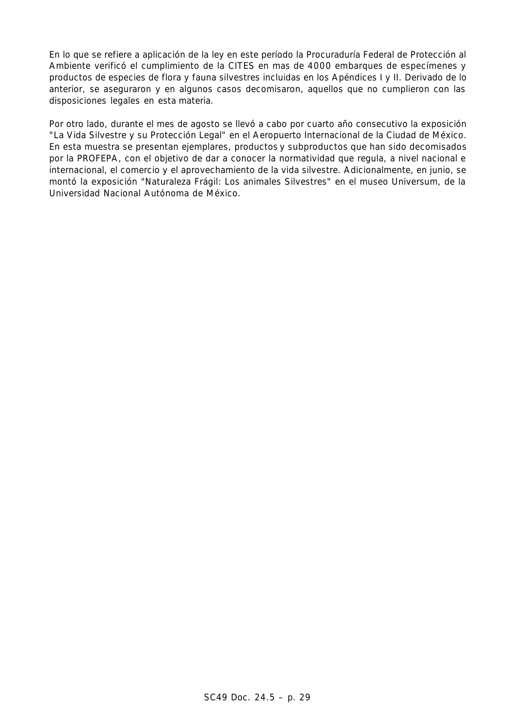En lo que se refiere a aplicación de la ley en este período la Procuraduría Federal de Protección al Ambiente verificó el cumplimiento de la CITES en mas de 4000 embarques de especímenes y productos de especies de flora y fauna silvestres incluidas en los Apéndices I y II. Derivado de lo anterior, se aseguraron y en algunos casos decomisaron, aquellos que no cumplieron con las disposiciones legales en esta materia.

Por otro lado, durante el mes de agosto se llevó a cabo por cuarto año consecutivo la exposición "La Vida Silvestre y su Protección Legal" en el Aeropuerto Internacional de la Ciudad de México. En esta muestra se presentan ejemplares, productos y subproductos que han sido decomisados por la PROFEPA, con el objetivo de dar a conocer la normatividad que regula, a nivel nacional e internacional, el comercio y el aprovechamiento de la vida silvestre. Adicionalmente, en junio, se montó la exposición "Naturaleza Frágil: Los animales Silvestres" en el museo Universum, de la Universidad Nacional Autónoma de México.